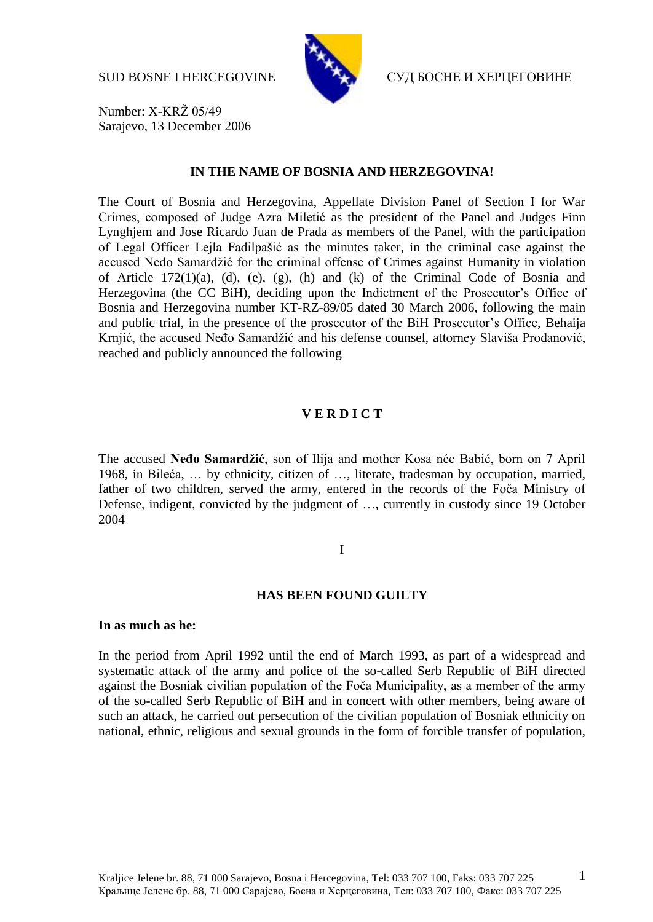

SUD BOSNE I HERCEGOVINE СУД БОСНЕ И ХЕРЦЕГОВИНЕ

Number: X-KRŽ 05/49 Sarajevo, 13 December 2006

#### **IN THE NAME OF BOSNIA AND HERZEGOVINA!**

The Court of Bosnia and Herzegovina, Appellate Division Panel of Section I for War Crimes, composed of Judge Azra Miletić as the president of the Panel and Judges Finn Lynghjem and Jose Ricardo Juan de Prada as members of the Panel, with the participation of Legal Officer Lejla Fadilpašić as the minutes taker, in the criminal case against the accused Neđo Samardžić for the criminal offense of Crimes against Humanity in violation of Article 172(1)(a), (d), (e), (g), (h) and (k) of the Criminal Code of Bosnia and Herzegovina (the CC BiH), deciding upon the Indictment of the Prosecutor's Office of Bosnia and Herzegovina number KT-RZ-89/05 dated 30 March 2006, following the main and public trial, in the presence of the prosecutor of the BiH Prosecutor's Office, Behaija Krnjić, the accused Neđo Samardžić and his defense counsel, attorney Slaviša Prodanović, reached and publicly announced the following

## **V E R D I C T**

The accused **Neđo Samardžić**, son of Ilija and mother Kosa née Babić, born on 7 April 1968, in Bileća, … by ethnicity, citizen of …, literate, tradesman by occupation, married, father of two children, served the army, entered in the records of the Foča Ministry of Defense, indigent, convicted by the judgment of …, currently in custody since 19 October 2004

I

## **HAS BEEN FOUND GUILTY**

#### **In as much as he:**

In the period from April 1992 until the end of March 1993, as part of a widespread and systematic attack of the army and police of the so-called Serb Republic of BiH directed against the Bosniak civilian population of the Foča Municipality, as a member of the army of the so-called Serb Republic of BiH and in concert with other members, being aware of such an attack, he carried out persecution of the civilian population of Bosniak ethnicity on national, ethnic, religious and sexual grounds in the form of forcible transfer of population,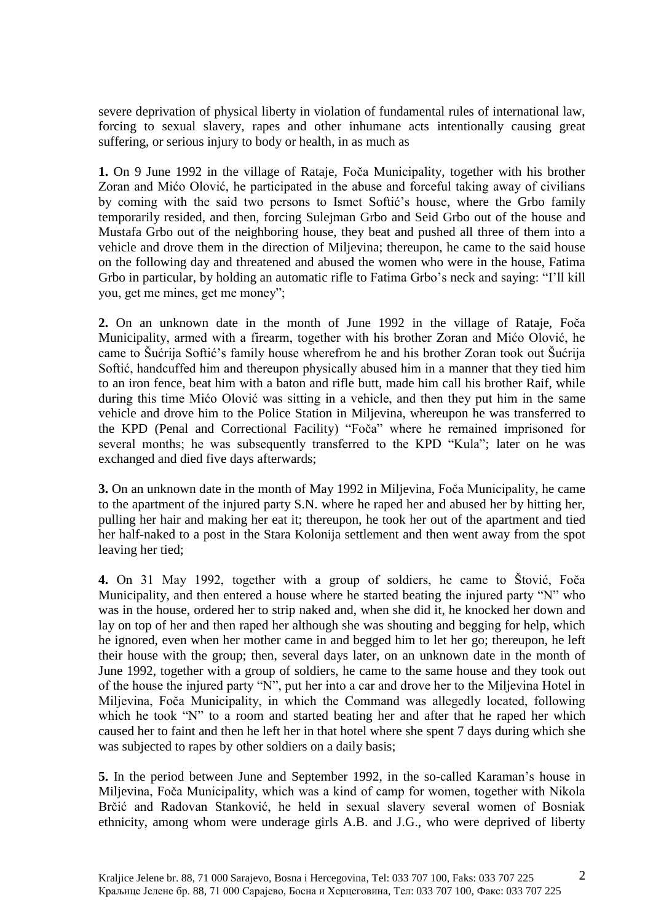severe deprivation of physical liberty in violation of fundamental rules of international law, forcing to sexual slavery, rapes and other inhumane acts intentionally causing great suffering, or serious injury to body or health, in as much as

**1.** On 9 June 1992 in the village of Rataje, Foča Municipality, together with his brother Zoran and Mićo Olović, he participated in the abuse and forceful taking away of civilians by coming with the said two persons to Ismet Softić's house, where the Grbo family temporarily resided, and then, forcing Sulejman Grbo and Seid Grbo out of the house and Mustafa Grbo out of the neighboring house, they beat and pushed all three of them into a vehicle and drove them in the direction of Miljevina; thereupon, he came to the said house on the following day and threatened and abused the women who were in the house, Fatima Grbo in particular, by holding an automatic rifle to Fatima Grbo's neck and saying: "I'll kill you, get me mines, get me money";

**2.** On an unknown date in the month of June 1992 in the village of Rataje, Foča Municipality, armed with a firearm, together with his brother Zoran and Mićo Olović, he came to Šućrija Softić's family house wherefrom he and his brother Zoran took out Šućrija Softić, handcuffed him and thereupon physically abused him in a manner that they tied him to an iron fence, beat him with a baton and rifle butt, made him call his brother Raif, while during this time Mićo Olović was sitting in a vehicle, and then they put him in the same vehicle and drove him to the Police Station in Miljevina, whereupon he was transferred to the KPD (Penal and Correctional Facility) "Foča" where he remained imprisoned for several months; he was subsequently transferred to the KPD "Kula"; later on he was exchanged and died five days afterwards;

**3.** On an unknown date in the month of May 1992 in Miljevina, Foča Municipality, he came to the apartment of the injured party S.N. where he raped her and abused her by hitting her, pulling her hair and making her eat it; thereupon, he took her out of the apartment and tied her half-naked to a post in the Stara Kolonija settlement and then went away from the spot leaving her tied;

**4.** On 31 May 1992, together with a group of soldiers, he came to Štović, Foča Municipality, and then entered a house where he started beating the injured party "N" who was in the house, ordered her to strip naked and, when she did it, he knocked her down and lay on top of her and then raped her although she was shouting and begging for help, which he ignored, even when her mother came in and begged him to let her go; thereupon, he left their house with the group; then, several days later, on an unknown date in the month of June 1992, together with a group of soldiers, he came to the same house and they took out of the house the injured party "N", put her into a car and drove her to the Miljevina Hotel in Miljevina, Foča Municipality, in which the Command was allegedly located, following which he took "N" to a room and started beating her and after that he raped her which caused her to faint and then he left her in that hotel where she spent 7 days during which she was subjected to rapes by other soldiers on a daily basis;

**5.** In the period between June and September 1992, in the so-called Karaman's house in Miljevina, Foča Municipality, which was a kind of camp for women, together with Nikola Brčić and Radovan Stanković, he held in sexual slavery several women of Bosniak ethnicity, among whom were underage girls A.B. and J.G., who were deprived of liberty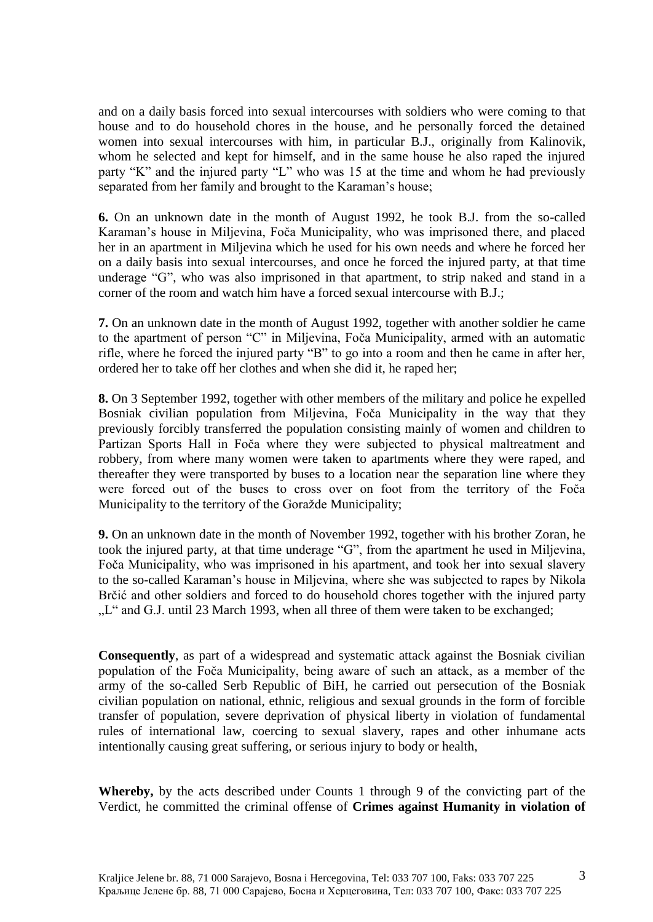and on a daily basis forced into sexual intercourses with soldiers who were coming to that house and to do household chores in the house, and he personally forced the detained women into sexual intercourses with him, in particular B.J., originally from Kalinovik, whom he selected and kept for himself, and in the same house he also raped the injured party "K" and the injured party "L" who was 15 at the time and whom he had previously separated from her family and brought to the Karaman's house;

**6.** On an unknown date in the month of August 1992, he took B.J. from the so-called Karaman's house in Miljevina, Foča Municipality, who was imprisoned there, and placed her in an apartment in Miljevina which he used for his own needs and where he forced her on a daily basis into sexual intercourses, and once he forced the injured party, at that time underage "G", who was also imprisoned in that apartment, to strip naked and stand in a corner of the room and watch him have a forced sexual intercourse with B.J.;

**7.** On an unknown date in the month of August 1992, together with another soldier he came to the apartment of person "C" in Miljevina, Foča Municipality, armed with an automatic rifle, where he forced the injured party "B" to go into a room and then he came in after her, ordered her to take off her clothes and when she did it, he raped her;

**8.** On 3 September 1992, together with other members of the military and police he expelled Bosniak civilian population from Miljevina, Foča Municipality in the way that they previously forcibly transferred the population consisting mainly of women and children to Partizan Sports Hall in Foča where they were subjected to physical maltreatment and robbery, from where many women were taken to apartments where they were raped, and thereafter they were transported by buses to a location near the separation line where they were forced out of the buses to cross over on foot from the territory of the Foča Municipality to the territory of the Goražde Municipality;

**9.** On an unknown date in the month of November 1992, together with his brother Zoran, he took the injured party, at that time underage "G", from the apartment he used in Miljevina, Foča Municipality, who was imprisoned in his apartment, and took her into sexual slavery to the so-called Karaman's house in Miljevina, where she was subjected to rapes by Nikola Brčić and other soldiers and forced to do household chores together with the injured party ., L" and G.J. until 23 March 1993, when all three of them were taken to be exchanged;

**Consequently**, as part of a widespread and systematic attack against the Bosniak civilian population of the Foča Municipality, being aware of such an attack, as a member of the army of the so-called Serb Republic of BiH, he carried out persecution of the Bosniak civilian population on national, ethnic, religious and sexual grounds in the form of forcible transfer of population, severe deprivation of physical liberty in violation of fundamental rules of international law, coercing to sexual slavery, rapes and other inhumane acts intentionally causing great suffering, or serious injury to body or health,

**Whereby,** by the acts described under Counts 1 through 9 of the convicting part of the Verdict, he committed the criminal offense of **Crimes against Humanity in violation of**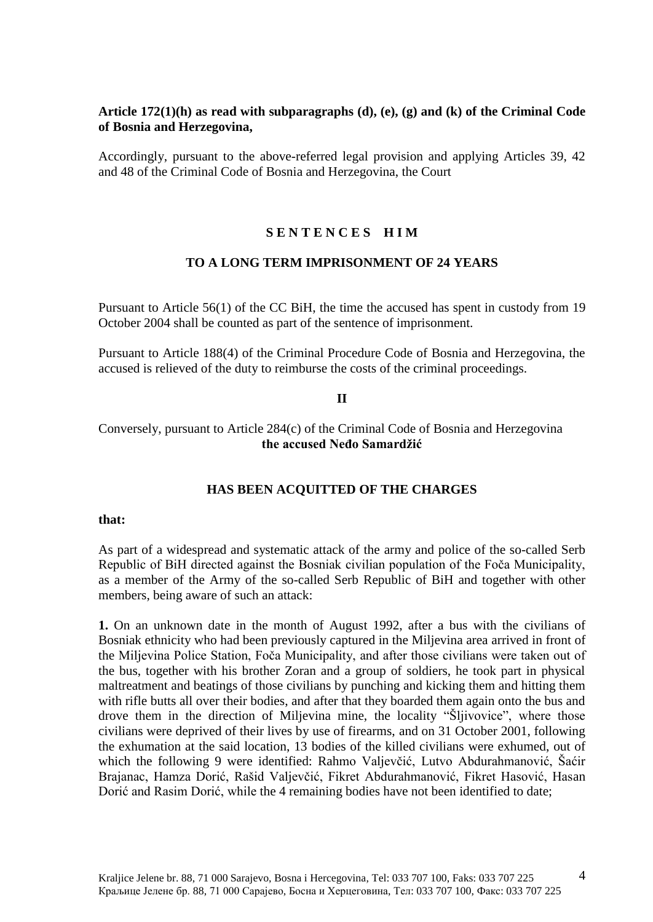# **Article 172(1)(h) as read with subparagraphs (d), (e), (g) and (k) of the Criminal Code of Bosnia and Herzegovina,**

Accordingly, pursuant to the above-referred legal provision and applying Articles 39, 42 and 48 of the Criminal Code of Bosnia and Herzegovina, the Court

# **S E N T E N C E S H I M**

### **TO A LONG TERM IMPRISONMENT OF 24 YEARS**

Pursuant to Article 56(1) of the CC BiH, the time the accused has spent in custody from 19 October 2004 shall be counted as part of the sentence of imprisonment.

Pursuant to Article 188(4) of the Criminal Procedure Code of Bosnia and Herzegovina, the accused is relieved of the duty to reimburse the costs of the criminal proceedings.

### **II**

Conversely, pursuant to Article 284(c) of the Criminal Code of Bosnia and Herzegovina **the accused Neđo Samardžić**

#### **HAS BEEN ACQUITTED OF THE CHARGES**

#### **that:**

As part of a widespread and systematic attack of the army and police of the so-called Serb Republic of BiH directed against the Bosniak civilian population of the Foča Municipality, as a member of the Army of the so-called Serb Republic of BiH and together with other members, being aware of such an attack:

**1.** On an unknown date in the month of August 1992, after a bus with the civilians of Bosniak ethnicity who had been previously captured in the Miljevina area arrived in front of the Miljevina Police Station, Foča Municipality, and after those civilians were taken out of the bus, together with his brother Zoran and a group of soldiers, he took part in physical maltreatment and beatings of those civilians by punching and kicking them and hitting them with rifle butts all over their bodies, and after that they boarded them again onto the bus and drove them in the direction of Miljevina mine, the locality "Šljivovice", where those civilians were deprived of their lives by use of firearms, and on 31 October 2001, following the exhumation at the said location, 13 bodies of the killed civilians were exhumed, out of which the following 9 were identified: Rahmo Valjevčić, Lutvo Abdurahmanović, Šaćir Brajanac, Hamza Dorić, Rašid Valjevčić, Fikret Abdurahmanović, Fikret Hasović, Hasan Dorić and Rasim Dorić, while the 4 remaining bodies have not been identified to date;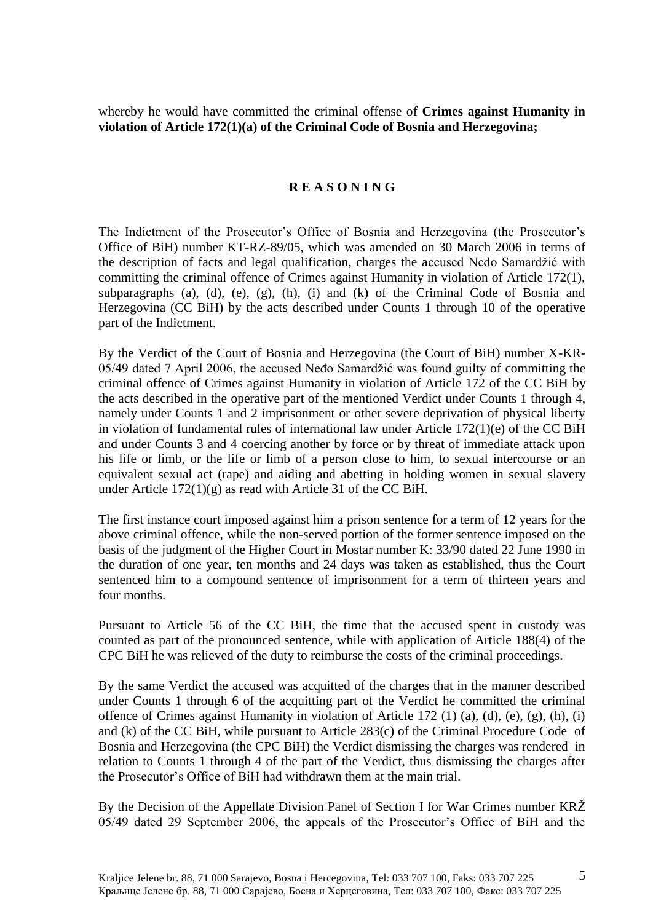whereby he would have committed the criminal offense of **Crimes against Humanity in violation of Article 172(1)(a) of the Criminal Code of Bosnia and Herzegovina;**

# **R E A S O N I N G**

The Indictment of the Prosecutor's Office of Bosnia and Herzegovina (the Prosecutor's Office of BiH) number KT-RZ-89/05, which was amended on 30 March 2006 in terms of the description of facts and legal qualification, charges the accused Neđo Samardžić with committing the criminal offence of Crimes against Humanity in violation of Article 172(1), subparagraphs (a), (d), (e), (g), (h), (i) and (k) of the Criminal Code of Bosnia and Herzegovina (CC BiH) by the acts described under Counts 1 through 10 of the operative part of the Indictment.

By the Verdict of the Court of Bosnia and Herzegovina (the Court of BiH) number X-KR-05/49 dated 7 April 2006, the accused Neđo Samardžić was found guilty of committing the criminal offence of Crimes against Humanity in violation of Article 172 of the CC BiH by the acts described in the operative part of the mentioned Verdict under Counts 1 through 4, namely under Counts 1 and 2 imprisonment or other severe deprivation of physical liberty in violation of fundamental rules of international law under Article 172(1)(e) of the CC BiH and under Counts 3 and 4 coercing another by force or by threat of immediate attack upon his life or limb, or the life or limb of a person close to him, to sexual intercourse or an equivalent sexual act (rape) and aiding and abetting in holding women in sexual slavery under Article 172(1)(g) as read with Article 31 of the CC BiH.

The first instance court imposed against him a prison sentence for a term of 12 years for the above criminal offence, while the non-served portion of the former sentence imposed on the basis of the judgment of the Higher Court in Mostar number K: 33/90 dated 22 June 1990 in the duration of one year, ten months and 24 days was taken as established, thus the Court sentenced him to a compound sentence of imprisonment for a term of thirteen years and four months.

Pursuant to Article 56 of the CC BiH, the time that the accused spent in custody was counted as part of the pronounced sentence, while with application of Article 188(4) of the CPC BiH he was relieved of the duty to reimburse the costs of the criminal proceedings.

By the same Verdict the accused was acquitted of the charges that in the manner described under Counts 1 through 6 of the acquitting part of the Verdict he committed the criminal offence of Crimes against Humanity in violation of Article 172 (1) (a), (d), (e), (g), (h), (i) and (k) of the CC BiH, while pursuant to Article 283(c) of the Criminal Procedure Code of Bosnia and Herzegovina (the CPC BiH) the Verdict dismissing the charges was rendered in relation to Counts 1 through 4 of the part of the Verdict, thus dismissing the charges after the Prosecutor's Office of BiH had withdrawn them at the main trial.

By the Decision of the Appellate Division Panel of Section I for War Crimes number KRŽ 05/49 dated 29 September 2006, the appeals of the Prosecutor's Office of BiH and the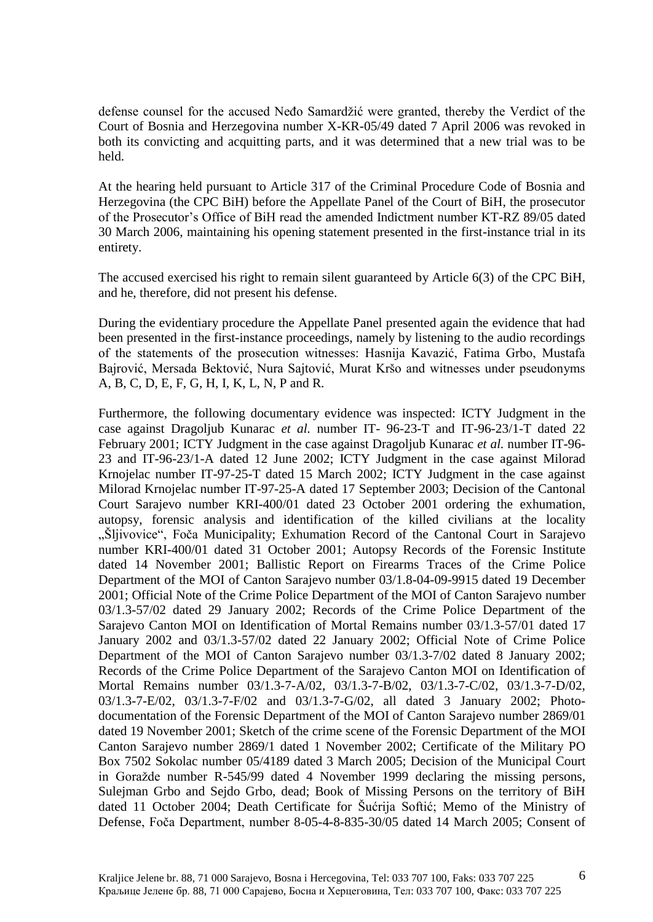defense counsel for the accused Neđo Samardžić were granted, thereby the Verdict of the Court of Bosnia and Herzegovina number X-KR-05/49 dated 7 April 2006 was revoked in both its convicting and acquitting parts, and it was determined that a new trial was to be held.

At the hearing held pursuant to Article 317 of the Criminal Procedure Code of Bosnia and Herzegovina (the CPC BiH) before the Appellate Panel of the Court of BiH, the prosecutor of the Prosecutor's Office of BiH read the amended Indictment number KT-RZ 89/05 dated 30 March 2006, maintaining his opening statement presented in the first-instance trial in its entirety.

The accused exercised his right to remain silent guaranteed by Article 6(3) of the CPC BiH, and he, therefore, did not present his defense.

During the evidentiary procedure the Appellate Panel presented again the evidence that had been presented in the first-instance proceedings, namely by listening to the audio recordings of the statements of the prosecution witnesses: Hasnija Kavazić, Fatima Grbo, Mustafa Bajrović, Mersada Bektović, Nura Sajtović, Murat Kršo and witnesses under pseudonyms A, B, C, D, E, F, G, H, I, K, L, N, P and R*.*

Furthermore, the following documentary evidence was inspected: ICTY Judgment in the case against Dragoljub Kunarac *et al.* number IT- 96-23-T and IT-96-23/1-T dated 22 February 2001; ICTY Judgment in the case against Dragoljub Kunarac *et al.* number IT-96- 23 and IT-96-23/1-A dated 12 June 2002; ICTY Judgment in the case against Milorad Krnojelac number IT-97-25-T dated 15 March 2002; ICTY Judgment in the case against Milorad Krnojelac number IT-97-25-A dated 17 September 2003; Decision of the Cantonal Court Sarajevo number KRI-400/01 dated 23 October 2001 ordering the exhumation, autopsy, forensic analysis and identification of the killed civilians at the locality "Šljivovice", Foča Municipality; Exhumation Record of the Cantonal Court in Sarajevo number KRI-400/01 dated 31 October 2001; Autopsy Records of the Forensic Institute dated 14 November 2001; Ballistic Report on Firearms Traces of the Crime Police Department of the MOI of Canton Sarajevo number 03/1.8-04-09-9915 dated 19 December 2001; Official Note of the Crime Police Department of the MOI of Canton Sarajevo number 03/1.3-57/02 dated 29 January 2002; Records of the Crime Police Department of the Sarajevo Canton MOI on Identification of Mortal Remains number 03/1.3-57/01 dated 17 January 2002 and 03/1.3-57/02 dated 22 January 2002; Official Note of Crime Police Department of the MOI of Canton Sarajevo number 03/1.3-7/02 dated 8 January 2002; Records of the Crime Police Department of the Sarajevo Canton MOI on Identification of Mortal Remains number 03/1.3-7-A/02, 03/1.3-7-B/02, 03/1.3-7-C/02, 03/1.3-7-D/02, 03/1.3-7-E/02, 03/1.3-7-F/02 and 03/1.3-7-G/02, all dated 3 January 2002; Photodocumentation of the Forensic Department of the MOI of Canton Sarajevo number 2869/01 dated 19 November 2001; Sketch of the crime scene of the Forensic Department of the MOI Canton Sarajevo number 2869/1 dated 1 November 2002; Certificate of the Military PO Box 7502 Sokolac number 05/4189 dated 3 March 2005; Decision of the Municipal Court in Goražde number R-545/99 dated 4 November 1999 declaring the missing persons, Sulejman Grbo and Sejdo Grbo, dead; Book of Missing Persons on the territory of BiH dated 11 October 2004; Death Certificate for Šućrija Softić; Memo of the Ministry of Defense, Foča Department, number 8-05-4-8-835-30/05 dated 14 March 2005; Consent of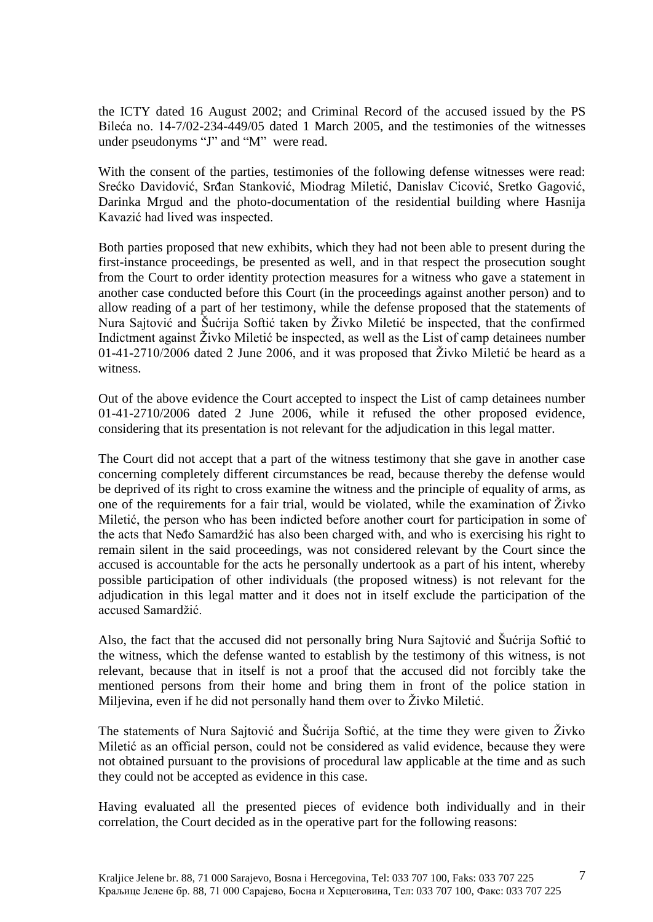the ICTY dated 16 August 2002; and Criminal Record of the accused issued by the PS Bileća no. 14-7/02-234-449/05 dated 1 March 2005, and the testimonies of the witnesses under pseudonyms "J" and "M" were read.

With the consent of the parties, testimonies of the following defense witnesses were read: Srećko Davidović, Srđan Stanković, Miodrag Miletić, Danislav Cicović, Sretko Gagović, Darinka Mrgud and the photo-documentation of the residential building where Hasnija Kavazić had lived was inspected.

Both parties proposed that new exhibits, which they had not been able to present during the first-instance proceedings, be presented as well, and in that respect the prosecution sought from the Court to order identity protection measures for a witness who gave a statement in another case conducted before this Court (in the proceedings against another person) and to allow reading of a part of her testimony, while the defense proposed that the statements of Nura Sajtović and Šućrija Softić taken by Živko Miletić be inspected, that the confirmed Indictment against Živko Miletić be inspected, as well as the List of camp detainees number 01-41-2710/2006 dated 2 June 2006, and it was proposed that Živko Miletić be heard as a witness.

Out of the above evidence the Court accepted to inspect the List of camp detainees number 01-41-2710/2006 dated 2 June 2006, while it refused the other proposed evidence, considering that its presentation is not relevant for the adjudication in this legal matter.

The Court did not accept that a part of the witness testimony that she gave in another case concerning completely different circumstances be read, because thereby the defense would be deprived of its right to cross examine the witness and the principle of equality of arms, as one of the requirements for a fair trial, would be violated, while the examination of Živko Miletić, the person who has been indicted before another court for participation in some of the acts that Neđo Samardžić has also been charged with, and who is exercising his right to remain silent in the said proceedings, was not considered relevant by the Court since the accused is accountable for the acts he personally undertook as a part of his intent, whereby possible participation of other individuals (the proposed witness) is not relevant for the adjudication in this legal matter and it does not in itself exclude the participation of the accused Samardžić.

Also, the fact that the accused did not personally bring Nura Sajtović and Šućrija Softić to the witness, which the defense wanted to establish by the testimony of this witness, is not relevant, because that in itself is not a proof that the accused did not forcibly take the mentioned persons from their home and bring them in front of the police station in Miljevina, even if he did not personally hand them over to Živko Miletić.

The statements of Nura Sajtović and Šućrija Softić, at the time they were given to Živko Miletić as an official person, could not be considered as valid evidence, because they were not obtained pursuant to the provisions of procedural law applicable at the time and as such they could not be accepted as evidence in this case.

Having evaluated all the presented pieces of evidence both individually and in their correlation, the Court decided as in the operative part for the following reasons: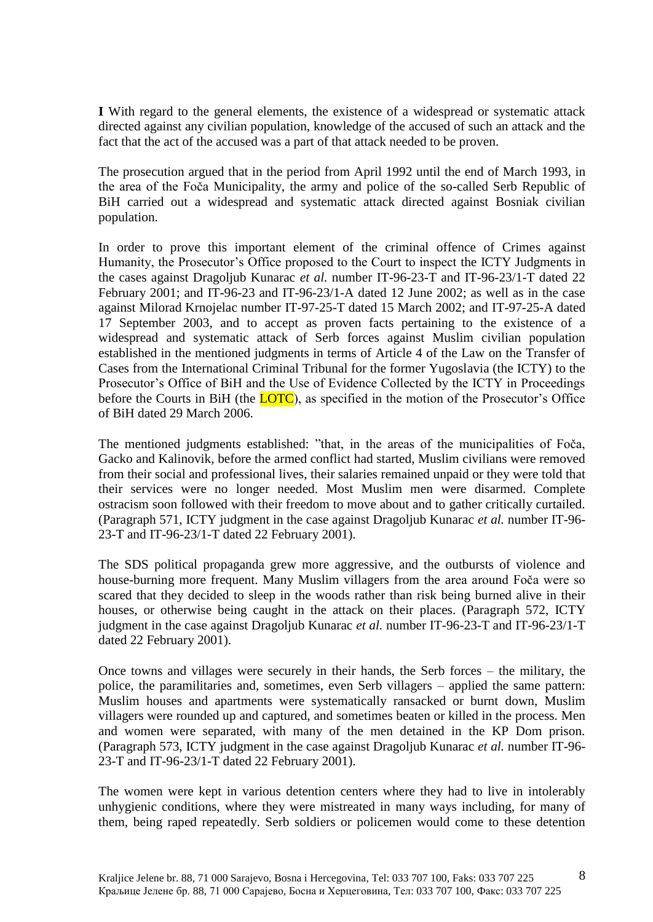**I** With regard to the general elements, the existence of a widespread or systematic attack directed against any civilian population, knowledge of the accused of such an attack and the fact that the act of the accused was a part of that attack needed to be proven.

The prosecution argued that in the period from April 1992 until the end of March 1993, in the area of the Foča Municipality, the army and police of the so-called Serb Republic of BiH carried out a widespread and systematic attack directed against Bosniak civilian population.

In order to prove this important element of the criminal offence of Crimes against Humanity, the Prosecutor's Office proposed to the Court to inspect the ICTY Judgments in the cases against Dragoljub Kunarac *et al.* number IT-96-23-T and IT-96-23/1-T dated 22 February 2001; and IT-96-23 and IT-96-23/1-A dated 12 June 2002; as well as in the case against Milorad Krnojelac number IT-97-25-T dated 15 March 2002; and IT-97-25-A dated 17 September 2003, and to accept as proven facts pertaining to the existence of a widespread and systematic attack of Serb forces against Muslim civilian population established in the mentioned judgments in terms of Article 4 of the Law on the Transfer of Cases from the International Criminal Tribunal for the former Yugoslavia (the ICTY) to the Prosecutor's Office of BiH and the Use of Evidence Collected by the ICTY in Proceedings before the Courts in BiH (the **LOTC**), as specified in the motion of the Prosecutor's Office of BiH dated 29 March 2006.

The mentioned judgments established: "that, in the areas of the municipalities of Foča, Gacko and Kalinovik, before the armed conflict had started, Muslim civilians were removed from their social and professional lives, their salaries remained unpaid or they were told that their services were no longer needed. Most Muslim men were disarmed. Complete ostracism soon followed with their freedom to move about and to gather critically curtailed. (Paragraph 571, ICTY judgment in the case against Dragoljub Kunarac *et al.* number IT-96- 23-T and IT-96-23/1-T dated 22 February 2001).

The SDS political propaganda grew more aggressive, and the outbursts of violence and house-burning more frequent. Many Muslim villagers from the area around Foča were so scared that they decided to sleep in the woods rather than risk being burned alive in their houses, or otherwise being caught in the attack on their places. (Paragraph 572, ICTY judgment in the case against Dragoljub Kunarac *et al.* number IT-96-23-T and IT-96-23/1-T dated 22 February 2001).

Once towns and villages were securely in their hands, the Serb forces – the military, the police, the paramilitaries and, sometimes, even Serb villagers – applied the same pattern: Muslim houses and apartments were systematically ransacked or burnt down, Muslim villagers were rounded up and captured, and sometimes beaten or killed in the process. Men and women were separated, with many of the men detained in the KP Dom prison. (Paragraph 573, ICTY judgment in the case against Dragoljub Kunarac *et al.* number IT-96- 23-T and IT-96-23/1-T dated 22 February 2001).

The women were kept in various detention centers where they had to live in intolerably unhygienic conditions, where they were mistreated in many ways including, for many of them, being raped repeatedly. Serb soldiers or policemen would come to these detention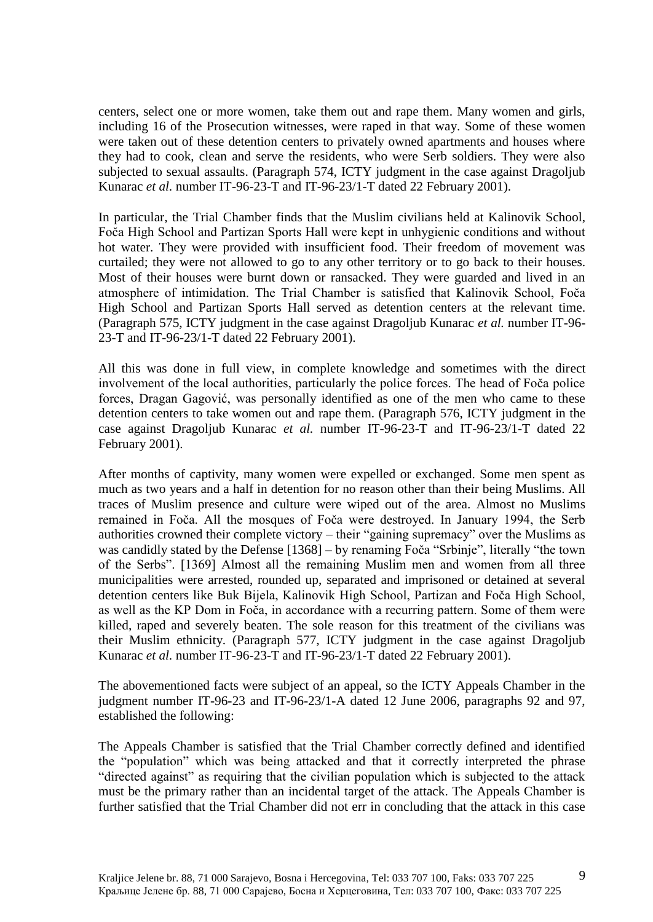centers, select one or more women, take them out and rape them. Many women and girls, including 16 of the Prosecution witnesses, were raped in that way. Some of these women were taken out of these detention centers to privately owned apartments and houses where they had to cook, clean and serve the residents, who were Serb soldiers. They were also subjected to sexual assaults. (Paragraph 574, ICTY judgment in the case against Dragoljub Kunarac *et al.* number IT-96-23-T and IT-96-23/1-T dated 22 February 2001).

In particular, the Trial Chamber finds that the Muslim civilians held at Kalinovik School, Foča High School and Partizan Sports Hall were kept in unhygienic conditions and without hot water. They were provided with insufficient food. Their freedom of movement was curtailed; they were not allowed to go to any other territory or to go back to their houses. Most of their houses were burnt down or ransacked. They were guarded and lived in an atmosphere of intimidation. The Trial Chamber is satisfied that Kalinovik School, Foča High School and Partizan Sports Hall served as detention centers at the relevant time. (Paragraph 575, ICTY judgment in the case against Dragoljub Kunarac *et al.* number IT-96- 23-T and IT-96-23/1-T dated 22 February 2001).

All this was done in full view, in complete knowledge and sometimes with the direct involvement of the local authorities, particularly the police forces. The head of Foča police forces, Dragan Gagović, was personally identified as one of the men who came to these detention centers to take women out and rape them. (Paragraph 576, ICTY judgment in the case against Dragoljub Kunarac *et al.* number IT-96-23-T and IT-96-23/1-T dated 22 February 2001).

After months of captivity, many women were expelled or exchanged. Some men spent as much as two years and a half in detention for no reason other than their being Muslims. All traces of Muslim presence and culture were wiped out of the area. Almost no Muslims remained in Foča. All the mosques of Foča were destroyed. In January 1994, the Serb authorities crowned their complete victory – their "gaining supremacy" over the Muslims as was candidly stated by the Defense [1368] – by renaming Foča "Srbinje", literally "the town of the Serbs". [1369] Almost all the remaining Muslim men and women from all three municipalities were arrested, rounded up, separated and imprisoned or detained at several detention centers like Buk Bijela, Kalinovik High School, Partizan and Foča High School, as well as the KP Dom in Foča, in accordance with a recurring pattern. Some of them were killed, raped and severely beaten. The sole reason for this treatment of the civilians was their Muslim ethnicity. (Paragraph 577, ICTY judgment in the case against Dragoljub Kunarac *et al.* number IT-96-23-T and IT-96-23/1-T dated 22 February 2001).

The abovementioned facts were subject of an appeal, so the ICTY Appeals Chamber in the judgment number IT-96-23 and IT-96-23/1-A dated 12 June 2006, paragraphs 92 and 97, established the following:

The Appeals Chamber is satisfied that the Trial Chamber correctly defined and identified the "population" which was being attacked and that it correctly interpreted the phrase "directed against" as requiring that the civilian population which is subjected to the attack must be the primary rather than an incidental target of the attack. The Appeals Chamber is further satisfied that the Trial Chamber did not err in concluding that the attack in this case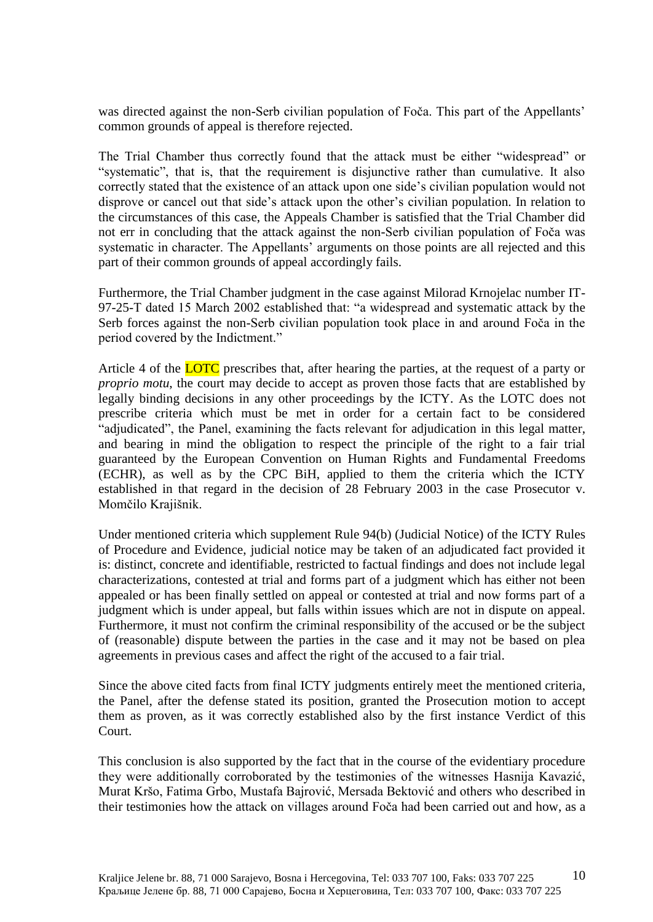was directed against the non-Serb civilian population of Foča. This part of the Appellants' common grounds of appeal is therefore rejected.

The Trial Chamber thus correctly found that the attack must be either "widespread" or "systematic", that is, that the requirement is disjunctive rather than cumulative. It also correctly stated that the existence of an attack upon one side's civilian population would not disprove or cancel out that side's attack upon the other's civilian population. In relation to the circumstances of this case, the Appeals Chamber is satisfied that the Trial Chamber did not err in concluding that the attack against the non-Serb civilian population of Foča was systematic in character. The Appellants' arguments on those points are all rejected and this part of their common grounds of appeal accordingly fails.

Furthermore, the Trial Chamber judgment in the case against Milorad Krnojelac number IT-97-25-T dated 15 March 2002 established that: "a widespread and systematic attack by the Serb forces against the non-Serb civilian population took place in and around Foča in the period covered by the Indictment."

Article 4 of the **LOTC** prescribes that, after hearing the parties, at the request of a party or *proprio motu*, the court may decide to accept as proven those facts that are established by legally binding decisions in any other proceedings by the ICTY. As the LOTC does not prescribe criteria which must be met in order for a certain fact to be considered "adjudicated", the Panel, examining the facts relevant for adjudication in this legal matter, and bearing in mind the obligation to respect the principle of the right to a fair trial guaranteed by the European Convention on Human Rights and Fundamental Freedoms (ECHR), as well as by the CPC BiH, applied to them the criteria which the ICTY established in that regard in the decision of 28 February 2003 in the case Prosecutor v. Momčilo Krajišnik.

Under mentioned criteria which supplement Rule 94(b) (Judicial Notice) of the ICTY Rules of Procedure and Evidence, judicial notice may be taken of an adjudicated fact provided it is: distinct, concrete and identifiable, restricted to factual findings and does not include legal characterizations, contested at trial and forms part of a judgment which has either not been appealed or has been finally settled on appeal or contested at trial and now forms part of a judgment which is under appeal, but falls within issues which are not in dispute on appeal. Furthermore, it must not confirm the criminal responsibility of the accused or be the subject of (reasonable) dispute between the parties in the case and it may not be based on plea agreements in previous cases and affect the right of the accused to a fair trial.

Since the above cited facts from final ICTY judgments entirely meet the mentioned criteria, the Panel, after the defense stated its position, granted the Prosecution motion to accept them as proven, as it was correctly established also by the first instance Verdict of this Court.

This conclusion is also supported by the fact that in the course of the evidentiary procedure they were additionally corroborated by the testimonies of the witnesses Hasnija Kavazić, Murat Kršo, Fatima Grbo, Mustafa Bajrović, Mersada Bektović and others who described in their testimonies how the attack on villages around Foča had been carried out and how, as a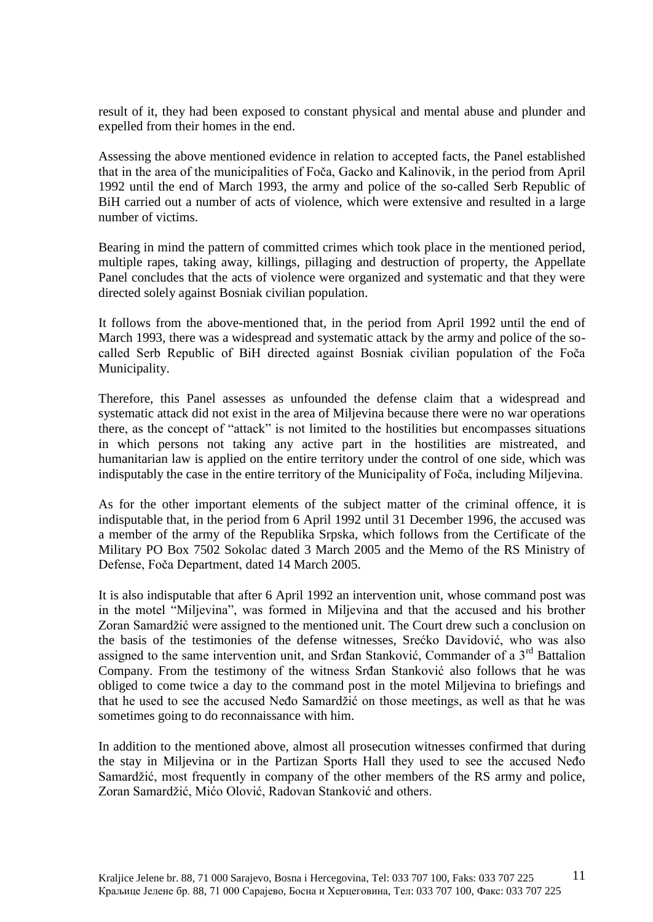result of it, they had been exposed to constant physical and mental abuse and plunder and expelled from their homes in the end.

Assessing the above mentioned evidence in relation to accepted facts, the Panel established that in the area of the municipalities of Foča, Gacko and Kalinovik, in the period from April 1992 until the end of March 1993, the army and police of the so-called Serb Republic of BiH carried out a number of acts of violence, which were extensive and resulted in a large number of victims.

Bearing in mind the pattern of committed crimes which took place in the mentioned period, multiple rapes, taking away, killings, pillaging and destruction of property, the Appellate Panel concludes that the acts of violence were organized and systematic and that they were directed solely against Bosniak civilian population.

It follows from the above-mentioned that, in the period from April 1992 until the end of March 1993, there was a widespread and systematic attack by the army and police of the socalled Serb Republic of BiH directed against Bosniak civilian population of the Foča Municipality.

Therefore, this Panel assesses as unfounded the defense claim that a widespread and systematic attack did not exist in the area of Miljevina because there were no war operations there, as the concept of "attack" is not limited to the hostilities but encompasses situations in which persons not taking any active part in the hostilities are mistreated, and humanitarian law is applied on the entire territory under the control of one side, which was indisputably the case in the entire territory of the Municipality of Foča, including Miljevina.

As for the other important elements of the subject matter of the criminal offence, it is indisputable that, in the period from 6 April 1992 until 31 December 1996, the accused was a member of the army of the Republika Srpska, which follows from the Certificate of the Military PO Box 7502 Sokolac dated 3 March 2005 and the Memo of the RS Ministry of Defense, Foča Department, dated 14 March 2005.

It is also indisputable that after 6 April 1992 an intervention unit, whose command post was in the motel "Miljevina", was formed in Miljevina and that the accused and his brother Zoran Samardžić were assigned to the mentioned unit. The Court drew such a conclusion on the basis of the testimonies of the defense witnesses, Srećko Davidović, who was also assigned to the same intervention unit, and Srđan Stanković, Commander of a 3<sup>rd</sup> Battalion Company. From the testimony of the witness Srđan Stanković also follows that he was obliged to come twice a day to the command post in the motel Miljevina to briefings and that he used to see the accused Neđo Samardžić on those meetings, as well as that he was sometimes going to do reconnaissance with him.

In addition to the mentioned above, almost all prosecution witnesses confirmed that during the stay in Miljevina or in the Partizan Sports Hall they used to see the accused Neđo Samardžić, most frequently in company of the other members of the RS army and police, Zoran Samardžić, Mićo Olović, Radovan Stanković and others.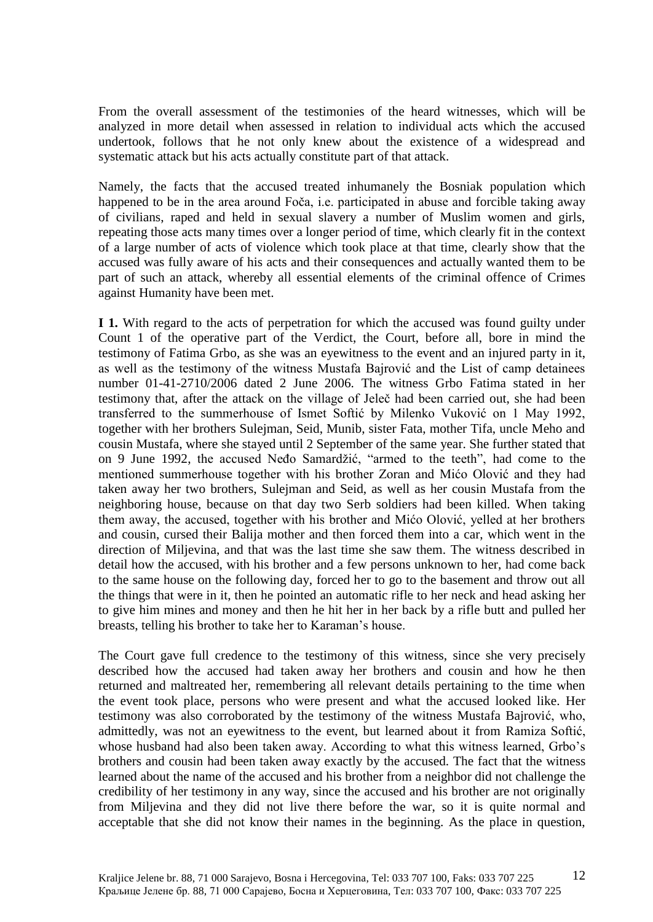From the overall assessment of the testimonies of the heard witnesses, which will be analyzed in more detail when assessed in relation to individual acts which the accused undertook, follows that he not only knew about the existence of a widespread and systematic attack but his acts actually constitute part of that attack.

Namely, the facts that the accused treated inhumanely the Bosniak population which happened to be in the area around Foča, i.e. participated in abuse and forcible taking away of civilians, raped and held in sexual slavery a number of Muslim women and girls, repeating those acts many times over a longer period of time, which clearly fit in the context of a large number of acts of violence which took place at that time, clearly show that the accused was fully aware of his acts and their consequences and actually wanted them to be part of such an attack, whereby all essential elements of the criminal offence of Crimes against Humanity have been met.

**I 1.** With regard to the acts of perpetration for which the accused was found guilty under Count 1 of the operative part of the Verdict, the Court, before all, bore in mind the testimony of Fatima Grbo, as she was an eyewitness to the event and an injured party in it, as well as the testimony of the witness Mustafa Bajrović and the List of camp detainees number 01-41-2710/2006 dated 2 June 2006. The witness Grbo Fatima stated in her testimony that, after the attack on the village of Jeleč had been carried out, she had been transferred to the summerhouse of Ismet Softić by Milenko Vuković on 1 May 1992, together with her brothers Sulejman, Seid, Munib, sister Fata, mother Tifa, uncle Meho and cousin Mustafa, where she stayed until 2 September of the same year. She further stated that on 9 June 1992, the accused Neđo Samardžić, "armed to the teeth", had come to the mentioned summerhouse together with his brother Zoran and Mićo Olović and they had taken away her two brothers, Sulejman and Seid, as well as her cousin Mustafa from the neighboring house, because on that day two Serb soldiers had been killed. When taking them away, the accused, together with his brother and Mićo Olović, yelled at her brothers and cousin, cursed their Balija mother and then forced them into a car, which went in the direction of Miljevina, and that was the last time she saw them. The witness described in detail how the accused, with his brother and a few persons unknown to her, had come back to the same house on the following day, forced her to go to the basement and throw out all the things that were in it, then he pointed an automatic rifle to her neck and head asking her to give him mines and money and then he hit her in her back by a rifle butt and pulled her breasts, telling his brother to take her to Karaman's house.

The Court gave full credence to the testimony of this witness, since she very precisely described how the accused had taken away her brothers and cousin and how he then returned and maltreated her, remembering all relevant details pertaining to the time when the event took place, persons who were present and what the accused looked like. Her testimony was also corroborated by the testimony of the witness Mustafa Bajrović, who, admittedly, was not an eyewitness to the event, but learned about it from Ramiza Softić, whose husband had also been taken away. According to what this witness learned, Grbo's brothers and cousin had been taken away exactly by the accused. The fact that the witness learned about the name of the accused and his brother from a neighbor did not challenge the credibility of her testimony in any way, since the accused and his brother are not originally from Miljevina and they did not live there before the war, so it is quite normal and acceptable that she did not know their names in the beginning. As the place in question,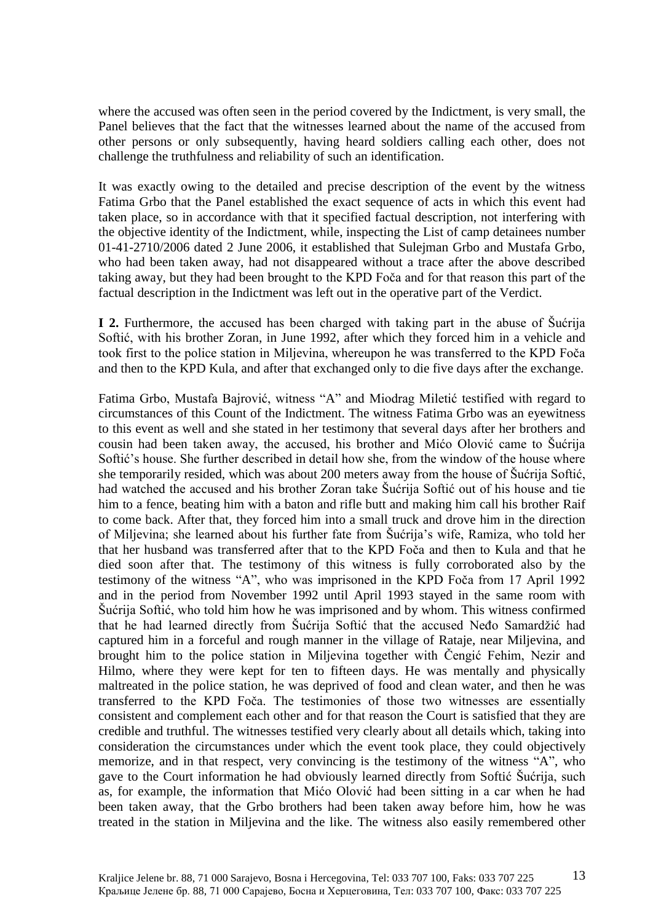where the accused was often seen in the period covered by the Indictment, is very small, the Panel believes that the fact that the witnesses learned about the name of the accused from other persons or only subsequently, having heard soldiers calling each other, does not challenge the truthfulness and reliability of such an identification.

It was exactly owing to the detailed and precise description of the event by the witness Fatima Grbo that the Panel established the exact sequence of acts in which this event had taken place, so in accordance with that it specified factual description, not interfering with the objective identity of the Indictment, while, inspecting the List of camp detainees number 01-41-2710/2006 dated 2 June 2006, it established that Sulejman Grbo and Mustafa Grbo, who had been taken away, had not disappeared without a trace after the above described taking away, but they had been brought to the KPD Foča and for that reason this part of the factual description in the Indictment was left out in the operative part of the Verdict.

**I 2.** Furthermore, the accused has been charged with taking part in the abuse of Šućrija Softić, with his brother Zoran, in June 1992, after which they forced him in a vehicle and took first to the police station in Miljevina, whereupon he was transferred to the KPD Foča and then to the KPD Kula, and after that exchanged only to die five days after the exchange.

Fatima Grbo, Mustafa Bajrović, witness "A" and Miodrag Miletić testified with regard to circumstances of this Count of the Indictment. The witness Fatima Grbo was an eyewitness to this event as well and she stated in her testimony that several days after her brothers and cousin had been taken away, the accused, his brother and Mićo Olović came to Šućrija Softić's house. She further described in detail how she, from the window of the house where she temporarily resided, which was about 200 meters away from the house of Šućrija Softić, had watched the accused and his brother Zoran take Šućrija Softić out of his house and tie him to a fence, beating him with a baton and rifle butt and making him call his brother Raif to come back. After that, they forced him into a small truck and drove him in the direction of Miljevina; she learned about his further fate from Šućrija's wife, Ramiza, who told her that her husband was transferred after that to the KPD Foča and then to Kula and that he died soon after that. The testimony of this witness is fully corroborated also by the testimony of the witness "A", who was imprisoned in the KPD Foča from 17 April 1992 and in the period from November 1992 until April 1993 stayed in the same room with Šućrija Softić, who told him how he was imprisoned and by whom. This witness confirmed that he had learned directly from Šućrija Softić that the accused Neđo Samardžić had captured him in a forceful and rough manner in the village of Rataje, near Miljevina, and brought him to the police station in Miljevina together with Čengić Fehim, Nezir and Hilmo, where they were kept for ten to fifteen days. He was mentally and physically maltreated in the police station, he was deprived of food and clean water, and then he was transferred to the KPD Foča. The testimonies of those two witnesses are essentially consistent and complement each other and for that reason the Court is satisfied that they are credible and truthful. The witnesses testified very clearly about all details which, taking into consideration the circumstances under which the event took place, they could objectively memorize, and in that respect, very convincing is the testimony of the witness "A", who gave to the Court information he had obviously learned directly from Softić Šućrija, such as, for example, the information that Mićo Olović had been sitting in a car when he had been taken away, that the Grbo brothers had been taken away before him, how he was treated in the station in Miljevina and the like. The witness also easily remembered other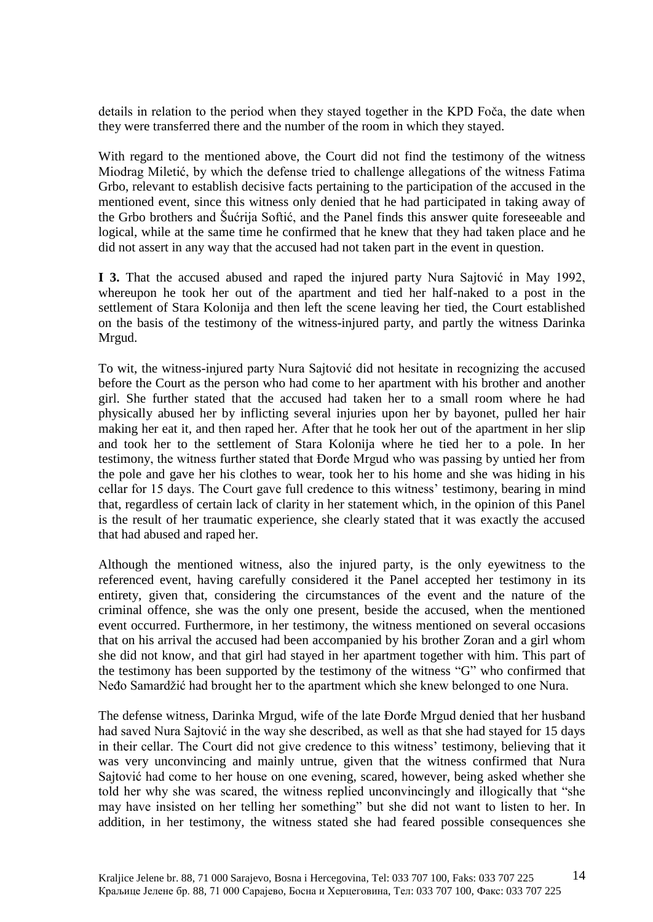details in relation to the period when they stayed together in the KPD Foča, the date when they were transferred there and the number of the room in which they stayed.

With regard to the mentioned above, the Court did not find the testimony of the witness Miodrag Miletić, by which the defense tried to challenge allegations of the witness Fatima Grbo, relevant to establish decisive facts pertaining to the participation of the accused in the mentioned event, since this witness only denied that he had participated in taking away of the Grbo brothers and Šućrija Softić, and the Panel finds this answer quite foreseeable and logical, while at the same time he confirmed that he knew that they had taken place and he did not assert in any way that the accused had not taken part in the event in question.

**I 3.** That the accused abused and raped the injured party Nura Sajtović in May 1992, whereupon he took her out of the apartment and tied her half-naked to a post in the settlement of Stara Kolonija and then left the scene leaving her tied, the Court established on the basis of the testimony of the witness-injured party, and partly the witness Darinka Mrgud.

To wit, the witness-injured party Nura Sajtović did not hesitate in recognizing the accused before the Court as the person who had come to her apartment with his brother and another girl. She further stated that the accused had taken her to a small room where he had physically abused her by inflicting several injuries upon her by bayonet, pulled her hair making her eat it, and then raped her. After that he took her out of the apartment in her slip and took her to the settlement of Stara Kolonija where he tied her to a pole. In her testimony, the witness further stated that Đorđe Mrgud who was passing by untied her from the pole and gave her his clothes to wear, took her to his home and she was hiding in his cellar for 15 days. The Court gave full credence to this witness' testimony, bearing in mind that, regardless of certain lack of clarity in her statement which, in the opinion of this Panel is the result of her traumatic experience, she clearly stated that it was exactly the accused that had abused and raped her.

Although the mentioned witness, also the injured party, is the only eyewitness to the referenced event, having carefully considered it the Panel accepted her testimony in its entirety, given that, considering the circumstances of the event and the nature of the criminal offence, she was the only one present, beside the accused, when the mentioned event occurred. Furthermore, in her testimony, the witness mentioned on several occasions that on his arrival the accused had been accompanied by his brother Zoran and a girl whom she did not know, and that girl had stayed in her apartment together with him. This part of the testimony has been supported by the testimony of the witness "G" who confirmed that Neđo Samardžić had brought her to the apartment which she knew belonged to one Nura.

The defense witness, Darinka Mrgud, wife of the late Đorđe Mrgud denied that her husband had saved Nura Sajtović in the way she described, as well as that she had stayed for 15 days in their cellar. The Court did not give credence to this witness' testimony, believing that it was very unconvincing and mainly untrue, given that the witness confirmed that Nura Sajtović had come to her house on one evening, scared, however, being asked whether she told her why she was scared, the witness replied unconvincingly and illogically that "she may have insisted on her telling her something" but she did not want to listen to her. In addition, in her testimony, the witness stated she had feared possible consequences she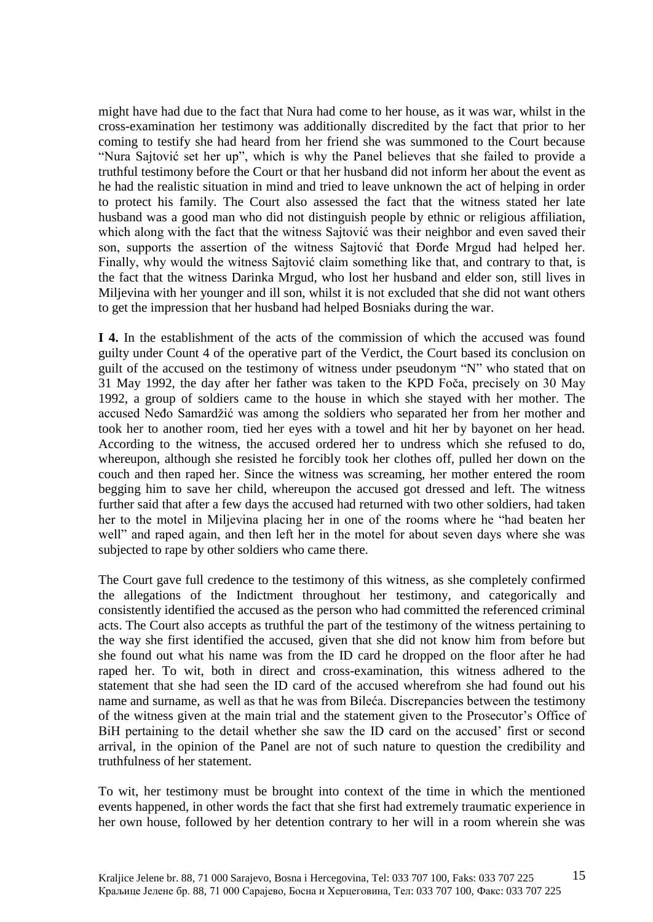might have had due to the fact that Nura had come to her house, as it was war, whilst in the cross-examination her testimony was additionally discredited by the fact that prior to her coming to testify she had heard from her friend she was summoned to the Court because "Nura Sajtović set her up", which is why the Panel believes that she failed to provide a truthful testimony before the Court or that her husband did not inform her about the event as he had the realistic situation in mind and tried to leave unknown the act of helping in order to protect his family. The Court also assessed the fact that the witness stated her late husband was a good man who did not distinguish people by ethnic or religious affiliation, which along with the fact that the witness Sajtović was their neighbor and even saved their son, supports the assertion of the witness Sajtović that Đorđe Mrgud had helped her. Finally, why would the witness Sajtović claim something like that, and contrary to that, is the fact that the witness Darinka Mrgud, who lost her husband and elder son, still lives in Miljevina with her younger and ill son, whilst it is not excluded that she did not want others to get the impression that her husband had helped Bosniaks during the war.

**I 4.** In the establishment of the acts of the commission of which the accused was found guilty under Count 4 of the operative part of the Verdict, the Court based its conclusion on guilt of the accused on the testimony of witness under pseudonym "N" who stated that on 31 May 1992, the day after her father was taken to the KPD Foča, precisely on 30 May 1992, a group of soldiers came to the house in which she stayed with her mother. The accused Neđo Samardžić was among the soldiers who separated her from her mother and took her to another room, tied her eyes with a towel and hit her by bayonet on her head. According to the witness, the accused ordered her to undress which she refused to do, whereupon, although she resisted he forcibly took her clothes off, pulled her down on the couch and then raped her. Since the witness was screaming, her mother entered the room begging him to save her child, whereupon the accused got dressed and left. The witness further said that after a few days the accused had returned with two other soldiers, had taken her to the motel in Miljevina placing her in one of the rooms where he "had beaten her well" and raped again, and then left her in the motel for about seven days where she was subjected to rape by other soldiers who came there.

The Court gave full credence to the testimony of this witness, as she completely confirmed the allegations of the Indictment throughout her testimony, and categorically and consistently identified the accused as the person who had committed the referenced criminal acts. The Court also accepts as truthful the part of the testimony of the witness pertaining to the way she first identified the accused, given that she did not know him from before but she found out what his name was from the ID card he dropped on the floor after he had raped her. To wit, both in direct and cross-examination, this witness adhered to the statement that she had seen the ID card of the accused wherefrom she had found out his name and surname, as well as that he was from Bileća. Discrepancies between the testimony of the witness given at the main trial and the statement given to the Prosecutor's Office of BiH pertaining to the detail whether she saw the ID card on the accused' first or second arrival, in the opinion of the Panel are not of such nature to question the credibility and truthfulness of her statement.

To wit, her testimony must be brought into context of the time in which the mentioned events happened, in other words the fact that she first had extremely traumatic experience in her own house, followed by her detention contrary to her will in a room wherein she was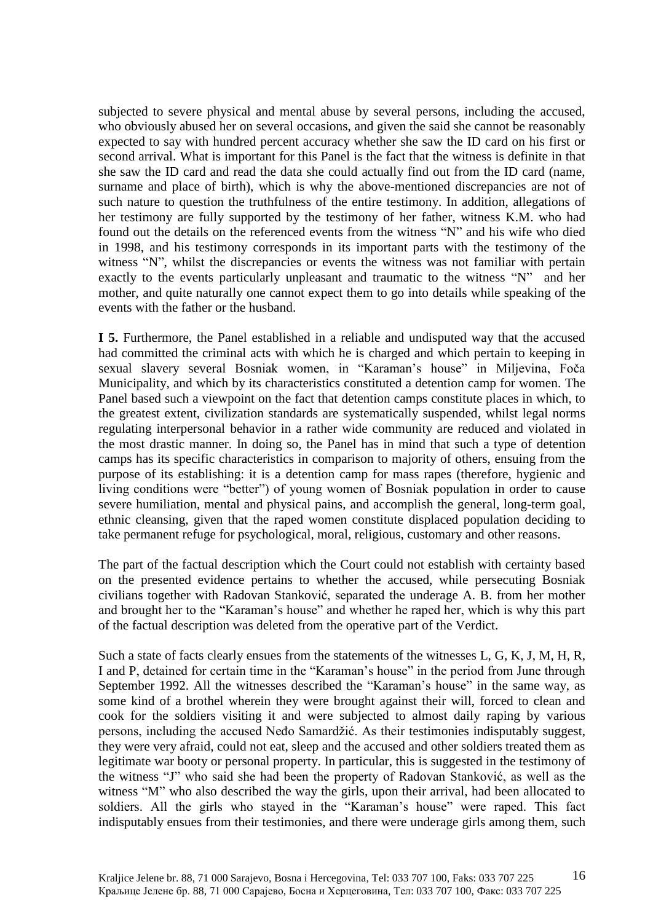subjected to severe physical and mental abuse by several persons, including the accused, who obviously abused her on several occasions, and given the said she cannot be reasonably expected to say with hundred percent accuracy whether she saw the ID card on his first or second arrival. What is important for this Panel is the fact that the witness is definite in that she saw the ID card and read the data she could actually find out from the ID card (name, surname and place of birth), which is why the above-mentioned discrepancies are not of such nature to question the truthfulness of the entire testimony. In addition, allegations of her testimony are fully supported by the testimony of her father, witness K.M. who had found out the details on the referenced events from the witness "N" and his wife who died in 1998, and his testimony corresponds in its important parts with the testimony of the witness "N", whilst the discrepancies or events the witness was not familiar with pertain exactly to the events particularly unpleasant and traumatic to the witness "N" and her mother, and quite naturally one cannot expect them to go into details while speaking of the events with the father or the husband.

**I 5.** Furthermore, the Panel established in a reliable and undisputed way that the accused had committed the criminal acts with which he is charged and which pertain to keeping in sexual slavery several Bosniak women, in "Karaman's house" in Miljevina, Foča Municipality, and which by its characteristics constituted a detention camp for women. The Panel based such a viewpoint on the fact that detention camps constitute places in which, to the greatest extent, civilization standards are systematically suspended, whilst legal norms regulating interpersonal behavior in a rather wide community are reduced and violated in the most drastic manner. In doing so, the Panel has in mind that such a type of detention camps has its specific characteristics in comparison to majority of others, ensuing from the purpose of its establishing: it is a detention camp for mass rapes (therefore, hygienic and living conditions were "better") of young women of Bosniak population in order to cause severe humiliation, mental and physical pains, and accomplish the general, long-term goal, ethnic cleansing, given that the raped women constitute displaced population deciding to take permanent refuge for psychological, moral, religious, customary and other reasons.

The part of the factual description which the Court could not establish with certainty based on the presented evidence pertains to whether the accused, while persecuting Bosniak civilians together with Radovan Stanković, separated the underage A. B. from her mother and brought her to the "Karaman's house" and whether he raped her, which is why this part of the factual description was deleted from the operative part of the Verdict.

Such a state of facts clearly ensues from the statements of the witnesses L, G, K, J, M, H, R, I and P, detained for certain time in the "Karaman's house" in the period from June through September 1992. All the witnesses described the "Karaman's house" in the same way, as some kind of a brothel wherein they were brought against their will, forced to clean and cook for the soldiers visiting it and were subjected to almost daily raping by various persons, including the accused Neđo Samardžić. As their testimonies indisputably suggest, they were very afraid, could not eat, sleep and the accused and other soldiers treated them as legitimate war booty or personal property. In particular, this is suggested in the testimony of the witness "J" who said she had been the property of Radovan Stanković, as well as the witness "M" who also described the way the girls, upon their arrival, had been allocated to soldiers. All the girls who stayed in the "Karaman's house" were raped. This fact indisputably ensues from their testimonies, and there were underage girls among them, such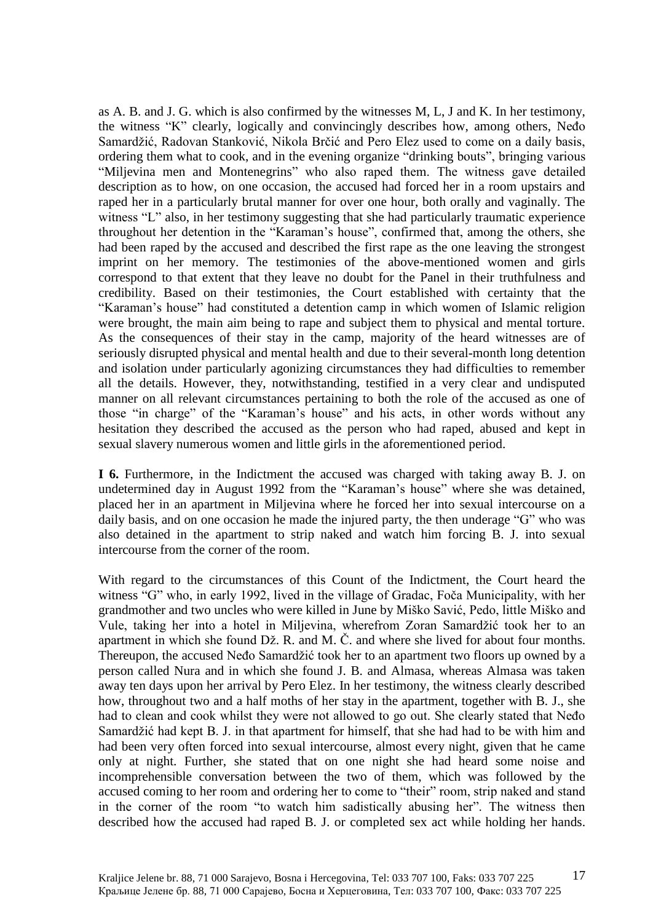as A. B. and J. G. which is also confirmed by the witnesses M, L, J and K. In her testimony, the witness "K" clearly, logically and convincingly describes how, among others, Neđo Samardžić, Radovan Stanković, Nikola Brčić and Pero Elez used to come on a daily basis, ordering them what to cook, and in the evening organize "drinking bouts", bringing various "Miljevina men and Montenegrins" who also raped them. The witness gave detailed description as to how, on one occasion, the accused had forced her in a room upstairs and raped her in a particularly brutal manner for over one hour, both orally and vaginally. The witness "L" also, in her testimony suggesting that she had particularly traumatic experience throughout her detention in the "Karaman's house", confirmed that, among the others, she had been raped by the accused and described the first rape as the one leaving the strongest imprint on her memory. The testimonies of the above-mentioned women and girls correspond to that extent that they leave no doubt for the Panel in their truthfulness and credibility. Based on their testimonies, the Court established with certainty that the "Karaman's house" had constituted a detention camp in which women of Islamic religion were brought, the main aim being to rape and subject them to physical and mental torture. As the consequences of their stay in the camp, majority of the heard witnesses are of seriously disrupted physical and mental health and due to their several-month long detention and isolation under particularly agonizing circumstances they had difficulties to remember all the details. However, they, notwithstanding, testified in a very clear and undisputed manner on all relevant circumstances pertaining to both the role of the accused as one of those "in charge" of the "Karaman's house" and his acts, in other words without any hesitation they described the accused as the person who had raped, abused and kept in sexual slavery numerous women and little girls in the aforementioned period.

**I 6.** Furthermore, in the Indictment the accused was charged with taking away B. J. on undetermined day in August 1992 from the "Karaman's house" where she was detained, placed her in an apartment in Miljevina where he forced her into sexual intercourse on a daily basis, and on one occasion he made the injured party, the then underage "G" who was also detained in the apartment to strip naked and watch him forcing B. J. into sexual intercourse from the corner of the room.

With regard to the circumstances of this Count of the Indictment, the Court heard the witness "G" who, in early 1992, lived in the village of Gradac, Foča Municipality, with her grandmother and two uncles who were killed in June by Miško Savić, Pedo, little Miško and Vule, taking her into a hotel in Miljevina, wherefrom Zoran Samardžić took her to an apartment in which she found Dž. R. and M. Č. and where she lived for about four months. Thereupon, the accused Neđo Samardžić took her to an apartment two floors up owned by a person called Nura and in which she found J. B. and Almasa, whereas Almasa was taken away ten days upon her arrival by Pero Elez. In her testimony, the witness clearly described how, throughout two and a half moths of her stay in the apartment, together with B. J., she had to clean and cook whilst they were not allowed to go out. She clearly stated that Neđo Samardžić had kept B. J. in that apartment for himself, that she had had to be with him and had been very often forced into sexual intercourse, almost every night, given that he came only at night. Further, she stated that on one night she had heard some noise and incomprehensible conversation between the two of them, which was followed by the accused coming to her room and ordering her to come to "their" room, strip naked and stand in the corner of the room "to watch him sadistically abusing her". The witness then described how the accused had raped B. J. or completed sex act while holding her hands.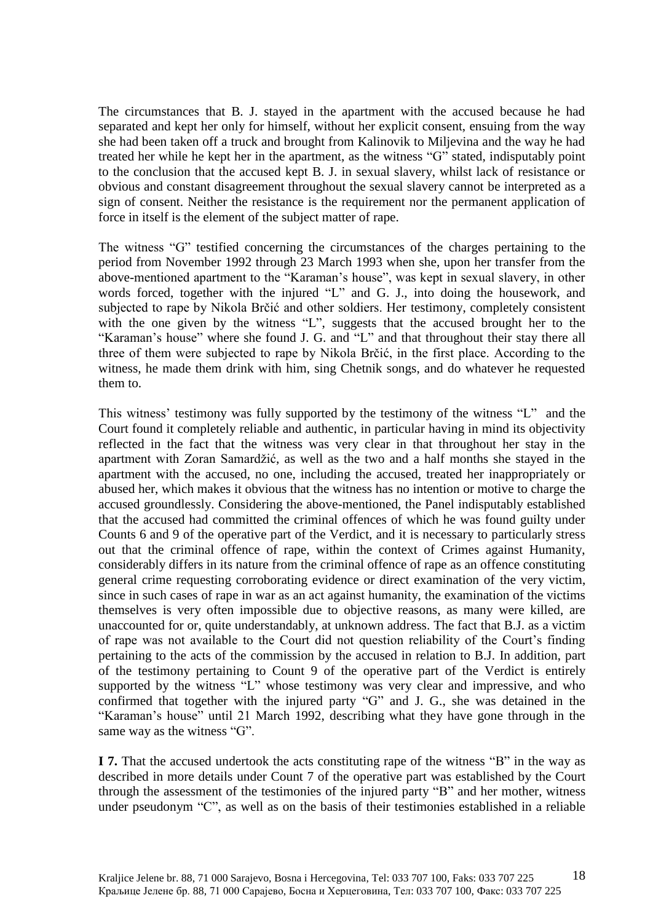The circumstances that B. J. stayed in the apartment with the accused because he had separated and kept her only for himself, without her explicit consent, ensuing from the way she had been taken off a truck and brought from Kalinovik to Miljevina and the way he had treated her while he kept her in the apartment, as the witness "G" stated, indisputably point to the conclusion that the accused kept B. J. in sexual slavery, whilst lack of resistance or obvious and constant disagreement throughout the sexual slavery cannot be interpreted as a sign of consent. Neither the resistance is the requirement nor the permanent application of force in itself is the element of the subject matter of rape.

The witness "G" testified concerning the circumstances of the charges pertaining to the period from November 1992 through 23 March 1993 when she, upon her transfer from the above-mentioned apartment to the "Karaman's house", was kept in sexual slavery, in other words forced, together with the injured "L" and G. J., into doing the housework, and subjected to rape by Nikola Brčić and other soldiers. Her testimony, completely consistent with the one given by the witness "L", suggests that the accused brought her to the "Karaman's house" where she found J. G. and "L" and that throughout their stay there all three of them were subjected to rape by Nikola Brčić, in the first place. According to the witness, he made them drink with him, sing Chetnik songs, and do whatever he requested them to.

This witness' testimony was fully supported by the testimony of the witness "L" and the Court found it completely reliable and authentic, in particular having in mind its objectivity reflected in the fact that the witness was very clear in that throughout her stay in the apartment with Zoran Samardžić, as well as the two and a half months she stayed in the apartment with the accused, no one, including the accused, treated her inappropriately or abused her, which makes it obvious that the witness has no intention or motive to charge the accused groundlessly. Considering the above-mentioned, the Panel indisputably established that the accused had committed the criminal offences of which he was found guilty under Counts 6 and 9 of the operative part of the Verdict, and it is necessary to particularly stress out that the criminal offence of rape, within the context of Crimes against Humanity, considerably differs in its nature from the criminal offence of rape as an offence constituting general crime requesting corroborating evidence or direct examination of the very victim, since in such cases of rape in war as an act against humanity, the examination of the victims themselves is very often impossible due to objective reasons, as many were killed, are unaccounted for or, quite understandably, at unknown address. The fact that B.J. as a victim of rape was not available to the Court did not question reliability of the Court's finding pertaining to the acts of the commission by the accused in relation to B.J. In addition, part of the testimony pertaining to Count 9 of the operative part of the Verdict is entirely supported by the witness "L" whose testimony was very clear and impressive, and who confirmed that together with the injured party "G" and J. G., she was detained in the "Karaman's house" until 21 March 1992, describing what they have gone through in the same way as the witness "G".

**I 7.** That the accused undertook the acts constituting rape of the witness "B" in the way as described in more details under Count 7 of the operative part was established by the Court through the assessment of the testimonies of the injured party "B" and her mother, witness under pseudonym "C", as well as on the basis of their testimonies established in a reliable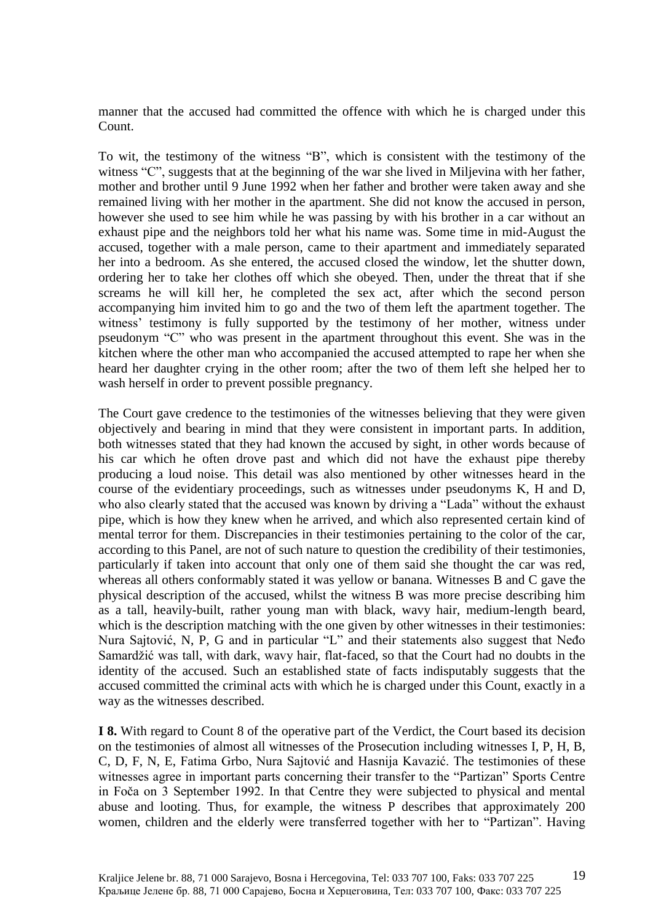manner that the accused had committed the offence with which he is charged under this Count.

To wit, the testimony of the witness "B", which is consistent with the testimony of the witness "C", suggests that at the beginning of the war she lived in Miljevina with her father, mother and brother until 9 June 1992 when her father and brother were taken away and she remained living with her mother in the apartment. She did not know the accused in person, however she used to see him while he was passing by with his brother in a car without an exhaust pipe and the neighbors told her what his name was. Some time in mid-August the accused, together with a male person, came to their apartment and immediately separated her into a bedroom. As she entered, the accused closed the window, let the shutter down, ordering her to take her clothes off which she obeyed. Then, under the threat that if she screams he will kill her, he completed the sex act, after which the second person accompanying him invited him to go and the two of them left the apartment together. The witness' testimony is fully supported by the testimony of her mother, witness under pseudonym "C" who was present in the apartment throughout this event. She was in the kitchen where the other man who accompanied the accused attempted to rape her when she heard her daughter crying in the other room; after the two of them left she helped her to wash herself in order to prevent possible pregnancy.

The Court gave credence to the testimonies of the witnesses believing that they were given objectively and bearing in mind that they were consistent in important parts. In addition, both witnesses stated that they had known the accused by sight, in other words because of his car which he often drove past and which did not have the exhaust pipe thereby producing a loud noise. This detail was also mentioned by other witnesses heard in the course of the evidentiary proceedings, such as witnesses under pseudonyms K, H and D, who also clearly stated that the accused was known by driving a "Lada" without the exhaust pipe, which is how they knew when he arrived, and which also represented certain kind of mental terror for them. Discrepancies in their testimonies pertaining to the color of the car, according to this Panel, are not of such nature to question the credibility of their testimonies, particularly if taken into account that only one of them said she thought the car was red, whereas all others conformably stated it was yellow or banana. Witnesses B and C gave the physical description of the accused, whilst the witness B was more precise describing him as a tall, heavily-built, rather young man with black, wavy hair, medium-length beard, which is the description matching with the one given by other witnesses in their testimonies: Nura Sajtović, N, P, G and in particular "L" and their statements also suggest that Neđo Samardžić was tall, with dark, wavy hair, flat-faced, so that the Court had no doubts in the identity of the accused. Such an established state of facts indisputably suggests that the accused committed the criminal acts with which he is charged under this Count, exactly in a way as the witnesses described.

**I 8.** With regard to Count 8 of the operative part of the Verdict, the Court based its decision on the testimonies of almost all witnesses of the Prosecution including witnesses I, P, H, B, C, D, F, N, E, Fatima Grbo, Nura Sajtović and Hasnija Kavazić. The testimonies of these witnesses agree in important parts concerning their transfer to the "Partizan" Sports Centre in Foča on 3 September 1992. In that Centre they were subjected to physical and mental abuse and looting. Thus, for example, the witness P describes that approximately 200 women, children and the elderly were transferred together with her to "Partizan". Having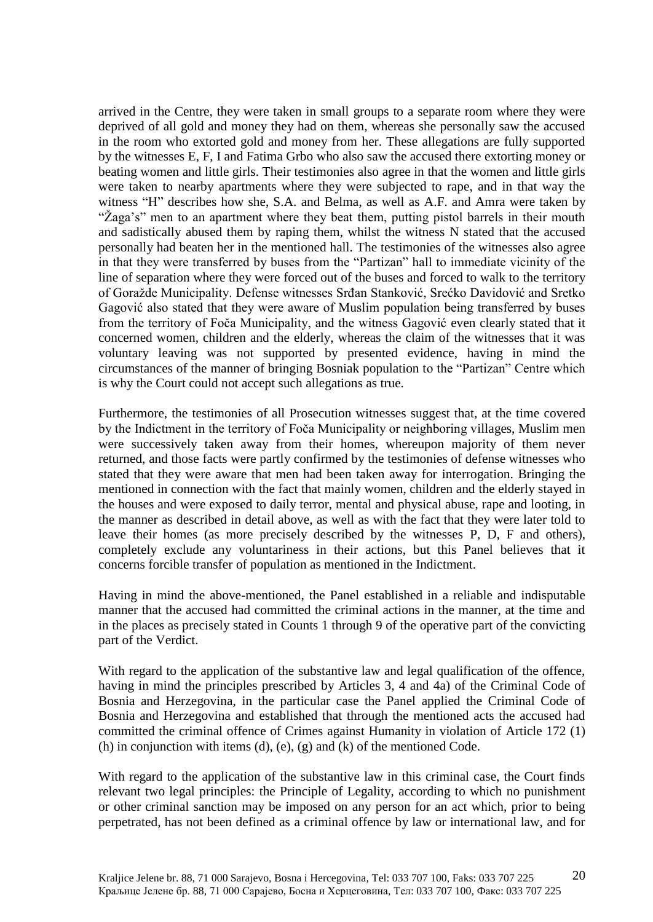arrived in the Centre, they were taken in small groups to a separate room where they were deprived of all gold and money they had on them, whereas she personally saw the accused in the room who extorted gold and money from her. These allegations are fully supported by the witnesses E, F, I and Fatima Grbo who also saw the accused there extorting money or beating women and little girls. Their testimonies also agree in that the women and little girls were taken to nearby apartments where they were subjected to rape, and in that way the witness "H" describes how she, S.A. and Belma, as well as A.F. and Amra were taken by "Žaga's" men to an apartment where they beat them, putting pistol barrels in their mouth and sadistically abused them by raping them, whilst the witness N stated that the accused personally had beaten her in the mentioned hall. The testimonies of the witnesses also agree in that they were transferred by buses from the "Partizan" hall to immediate vicinity of the line of separation where they were forced out of the buses and forced to walk to the territory of Goražde Municipality. Defense witnesses Srđan Stanković, Srećko Davidović and Sretko Gagović also stated that they were aware of Muslim population being transferred by buses from the territory of Foča Municipality, and the witness Gagović even clearly stated that it concerned women, children and the elderly, whereas the claim of the witnesses that it was voluntary leaving was not supported by presented evidence, having in mind the circumstances of the manner of bringing Bosniak population to the "Partizan" Centre which is why the Court could not accept such allegations as true.

Furthermore, the testimonies of all Prosecution witnesses suggest that, at the time covered by the Indictment in the territory of Foča Municipality or neighboring villages, Muslim men were successively taken away from their homes, whereupon majority of them never returned, and those facts were partly confirmed by the testimonies of defense witnesses who stated that they were aware that men had been taken away for interrogation. Bringing the mentioned in connection with the fact that mainly women, children and the elderly stayed in the houses and were exposed to daily terror, mental and physical abuse, rape and looting, in the manner as described in detail above, as well as with the fact that they were later told to leave their homes (as more precisely described by the witnesses P, D, F and others), completely exclude any voluntariness in their actions, but this Panel believes that it concerns forcible transfer of population as mentioned in the Indictment.

Having in mind the above-mentioned, the Panel established in a reliable and indisputable manner that the accused had committed the criminal actions in the manner, at the time and in the places as precisely stated in Counts 1 through 9 of the operative part of the convicting part of the Verdict.

With regard to the application of the substantive law and legal qualification of the offence, having in mind the principles prescribed by Articles 3, 4 and 4a) of the Criminal Code of Bosnia and Herzegovina, in the particular case the Panel applied the Criminal Code of Bosnia and Herzegovina and established that through the mentioned acts the accused had committed the criminal offence of Crimes against Humanity in violation of Article 172 (1) (h) in conjunction with items (d), (e), (g) and (k) of the mentioned Code.

With regard to the application of the substantive law in this criminal case, the Court finds relevant two legal principles: the Principle of Legality, according to which no punishment or other criminal sanction may be imposed on any person for an act which, prior to being perpetrated, has not been defined as a criminal offence by law or international law, and for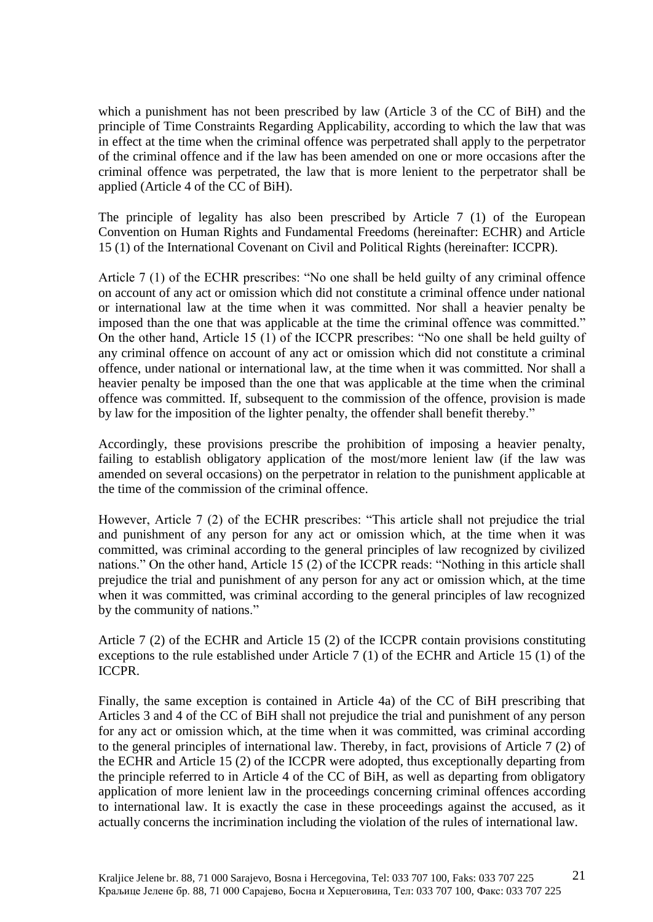which a punishment has not been prescribed by law (Article 3 of the CC of BiH) and the principle of Time Constraints Regarding Applicability, according to which the law that was in effect at the time when the criminal offence was perpetrated shall apply to the perpetrator of the criminal offence and if the law has been amended on one or more occasions after the criminal offence was perpetrated, the law that is more lenient to the perpetrator shall be applied (Article 4 of the CC of BiH).

The principle of legality has also been prescribed by Article 7 (1) of the European Convention on Human Rights and Fundamental Freedoms (hereinafter: ECHR) and Article 15 (1) of the International Covenant on Civil and Political Rights (hereinafter: ICCPR).

Article 7 (1) of the ECHR prescribes: "No one shall be held guilty of any criminal offence on account of any act or omission which did not constitute a criminal offence under national or international law at the time when it was committed. Nor shall a heavier penalty be imposed than the one that was applicable at the time the criminal offence was committed." On the other hand, Article 15 (1) of the ICCPR prescribes: "No one shall be held guilty of any criminal offence on account of any act or omission which did not constitute a criminal offence, under national or international law, at the time when it was committed. Nor shall a heavier penalty be imposed than the one that was applicable at the time when the criminal offence was committed. If, subsequent to the commission of the offence, provision is made by law for the imposition of the lighter penalty, the offender shall benefit thereby."

Accordingly, these provisions prescribe the prohibition of imposing a heavier penalty, failing to establish obligatory application of the most/more lenient law (if the law was amended on several occasions) on the perpetrator in relation to the punishment applicable at the time of the commission of the criminal offence.

However, Article 7 (2) of the ECHR prescribes: "This article shall not prejudice the trial and punishment of any person for any act or omission which, at the time when it was committed, was criminal according to the general principles of law recognized by civilized nations." On the other hand, Article 15 (2) of the ICCPR reads: "Nothing in this article shall prejudice the trial and punishment of any person for any act or omission which, at the time when it was committed, was criminal according to the general principles of law recognized by the community of nations."

Article 7 (2) of the ECHR and Article 15 (2) of the ICCPR contain provisions constituting exceptions to the rule established under Article 7 (1) of the ECHR and Article 15 (1) of the ICCPR.

Finally, the same exception is contained in Article 4a) of the CC of BiH prescribing that Articles 3 and 4 of the CC of BiH shall not prejudice the trial and punishment of any person for any act or omission which, at the time when it was committed, was criminal according to the general principles of international law. Thereby, in fact, provisions of Article 7 (2) of the ECHR and Article 15 (2) of the ICCPR were adopted, thus exceptionally departing from the principle referred to in Article 4 of the CC of BiH, as well as departing from obligatory application of more lenient law in the proceedings concerning criminal offences according to international law. It is exactly the case in these proceedings against the accused, as it actually concerns the incrimination including the violation of the rules of international law.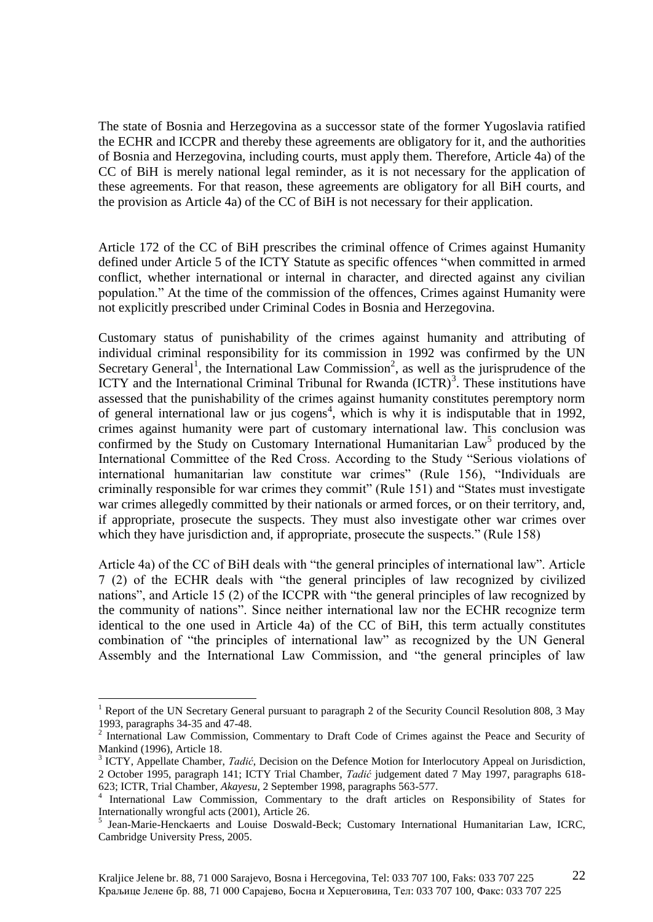The state of Bosnia and Herzegovina as a successor state of the former Yugoslavia ratified the ECHR and ICCPR and thereby these agreements are obligatory for it, and the authorities of Bosnia and Herzegovina, including courts, must apply them. Therefore, Article 4a) of the CC of BiH is merely national legal reminder, as it is not necessary for the application of these agreements. For that reason, these agreements are obligatory for all BiH courts, and the provision as Article 4a) of the CC of BiH is not necessary for their application.

Article 172 of the CC of BiH prescribes the criminal offence of Crimes against Humanity defined under Article 5 of the ICTY Statute as specific offences "when committed in armed conflict, whether international or internal in character, and directed against any civilian population." At the time of the commission of the offences, Crimes against Humanity were not explicitly prescribed under Criminal Codes in Bosnia and Herzegovina.

Customary status of punishability of the crimes against humanity and attributing of individual criminal responsibility for its commission in 1992 was confirmed by the UN Secretary General<sup>1</sup>, the International Law Commission<sup>2</sup>, as well as the jurisprudence of the ICTY and the International Criminal Tribunal for Rwanda  $(ICTR)<sup>3</sup>$ . These institutions have assessed that the punishability of the crimes against humanity constitutes peremptory norm of general international law or jus  $cogens<sup>4</sup>$ , which is why it is indisputable that in 1992, crimes against humanity were part of customary international law. This conclusion was confirmed by the Study on Customary International Humanitarian Law<sup>5</sup> produced by the International Committee of the Red Cross. According to the Study "Serious violations of international humanitarian law constitute war crimes" (Rule 156), "Individuals are criminally responsible for war crimes they commit" (Rule 151) and "States must investigate war crimes allegedly committed by their nationals or armed forces, or on their territory, and, if appropriate, prosecute the suspects. They must also investigate other war crimes over which they have jurisdiction and, if appropriate, prosecute the suspects." (Rule 158)

Article 4a) of the CC of BiH deals with "the general principles of international law". Article 7 (2) of the ECHR deals with "the general principles of law recognized by civilized nations", and Article 15 (2) of the ICCPR with "the general principles of law recognized by the community of nations". Since neither international law nor the ECHR recognize term identical to the one used in Article 4a) of the CC of BiH, this term actually constitutes combination of "the principles of international law" as recognized by the UN General Assembly and the International Law Commission, and "the general principles of law

 $\overline{a}$ 

<sup>&</sup>lt;sup>1</sup> Report of the UN Secretary General pursuant to paragraph 2 of the Security Council Resolution 808, 3 May 1993, paragraphs 34-35 and 47-48.

<sup>&</sup>lt;sup>2</sup> International Law Commission, Commentary to Draft Code of Crimes against the Peace and Security of Mankind (1996), Article 18.

<sup>&</sup>lt;sup>3</sup> ICTY, Appellate Chamber, *Tadić*, Decision on the Defence Motion for Interlocutory Appeal on Jurisdiction,

<sup>2</sup> October 1995, paragraph 141; ICTY Trial Chamber, *Tadić* judgement dated 7 May 1997, paragraphs 618- 623; ICTR, Trial Chamber, *Akayesu*, 2 September 1998, paragraphs 563-577.

<sup>4</sup> International Law Commission, Commentary to the draft articles on Responsibility of States for Internationally wrongful acts (2001), Article 26.

<sup>5</sup> Jean-Marie-Henckaerts and Louise Doswald-Beck; Customary International Humanitarian Law, ICRC, Cambridge University Press, 2005.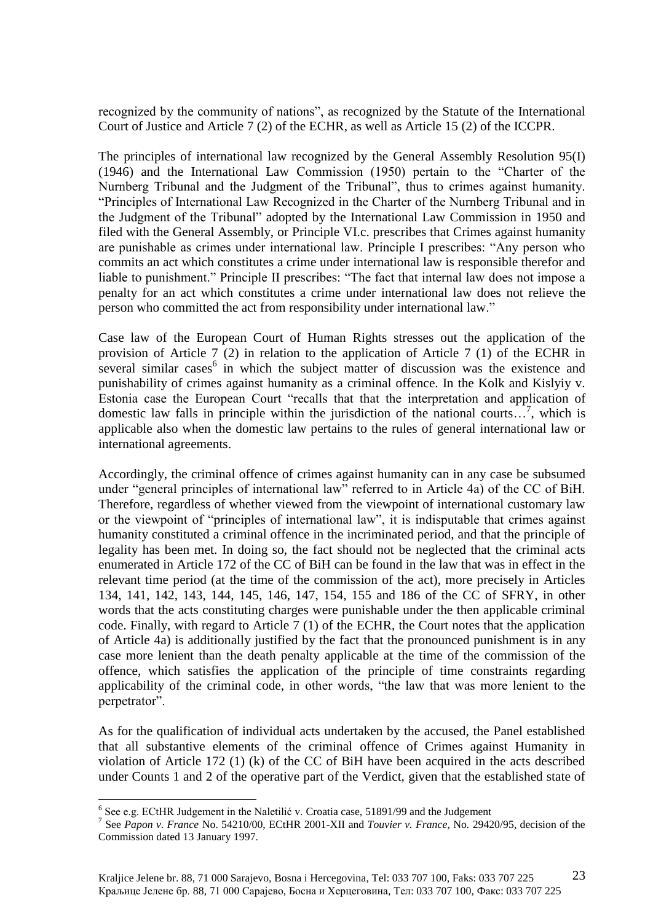recognized by the community of nations", as recognized by the Statute of the International Court of Justice and Article 7 (2) of the ECHR, as well as Article 15 (2) of the ICCPR.

The principles of international law recognized by the General Assembly Resolution 95(I) (1946) and the International Law Commission (1950) pertain to the "Charter of the Nurnberg Tribunal and the Judgment of the Tribunal", thus to crimes against humanity. "Principles of International Law Recognized in the Charter of the Nurnberg Tribunal and in the Judgment of the Tribunal" adopted by the International Law Commission in 1950 and filed with the General Assembly, or Principle VI.c. prescribes that Crimes against humanity are punishable as crimes under international law. Principle I prescribes: "Any person who commits an act which constitutes a crime under international law is responsible therefor and liable to punishment." Principle II prescribes: "The fact that internal law does not impose a penalty for an act which constitutes a crime under international law does not relieve the person who committed the act from responsibility under international law."

Case law of the European Court of Human Rights stresses out the application of the provision of Article 7 (2) in relation to the application of Article 7 (1) of the ECHR in several similar cases $6$  in which the subject matter of discussion was the existence and punishability of crimes against humanity as a criminal offence. In the Kolk and Kislyiy v. Estonia case the European Court "recalls that that the interpretation and application of domestic law falls in principle within the jurisdiction of the national courts…<sup>7</sup> , which is applicable also when the domestic law pertains to the rules of general international law or international agreements.

Accordingly, the criminal offence of crimes against humanity can in any case be subsumed under "general principles of international law" referred to in Article 4a) of the CC of BiH. Therefore, regardless of whether viewed from the viewpoint of international customary law or the viewpoint of "principles of international law", it is indisputable that crimes against humanity constituted a criminal offence in the incriminated period, and that the principle of legality has been met. In doing so, the fact should not be neglected that the criminal acts enumerated in Article 172 of the CC of BiH can be found in the law that was in effect in the relevant time period (at the time of the commission of the act), more precisely in Articles 134, 141, 142, 143, 144, 145, 146, 147, 154, 155 and 186 of the CC of SFRY, in other words that the acts constituting charges were punishable under the then applicable criminal code. Finally, with regard to Article 7 (1) of the ECHR, the Court notes that the application of Article 4a) is additionally justified by the fact that the pronounced punishment is in any case more lenient than the death penalty applicable at the time of the commission of the offence, which satisfies the application of the principle of time constraints regarding applicability of the criminal code, in other words, "the law that was more lenient to the perpetrator".

As for the qualification of individual acts undertaken by the accused, the Panel established that all substantive elements of the criminal offence of Crimes against Humanity in violation of Article 172 (1) (k) of the CC of BiH have been acquired in the acts described under Counts 1 and 2 of the operative part of the Verdict, given that the established state of

 $\overline{a}$ 

<sup>&</sup>lt;sup>6</sup> See e.g. ECtHR Judgement in the Naletilić v. Croatia case, 51891/99 and the Judgement

<sup>7</sup> See *Papon v. France* No. 54210/00, ECtHR 2001-XII and *Touvier v. France,* No*.* 29420/95, decision of the Commission dated 13 January 1997.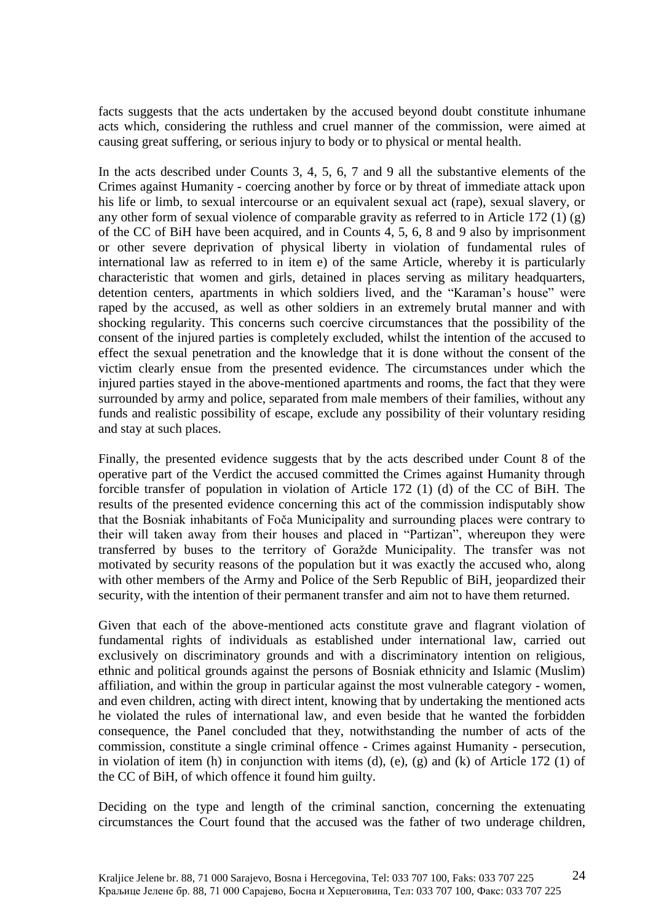facts suggests that the acts undertaken by the accused beyond doubt constitute inhumane acts which, considering the ruthless and cruel manner of the commission, were aimed at causing great suffering, or serious injury to body or to physical or mental health.

In the acts described under Counts 3, 4, 5, 6, 7 and 9 all the substantive elements of the Crimes against Humanity - coercing another by force or by threat of immediate attack upon his life or limb, to sexual intercourse or an equivalent sexual act (rape), sexual slavery, or any other form of sexual violence of comparable gravity as referred to in Article 172 (1) (g) of the CC of BiH have been acquired, and in Counts 4, 5, 6, 8 and 9 also by imprisonment or other severe deprivation of physical liberty in violation of fundamental rules of international law as referred to in item e) of the same Article, whereby it is particularly characteristic that women and girls, detained in places serving as military headquarters, detention centers, apartments in which soldiers lived, and the "Karaman's house" were raped by the accused, as well as other soldiers in an extremely brutal manner and with shocking regularity. This concerns such coercive circumstances that the possibility of the consent of the injured parties is completely excluded, whilst the intention of the accused to effect the sexual penetration and the knowledge that it is done without the consent of the victim clearly ensue from the presented evidence. The circumstances under which the injured parties stayed in the above-mentioned apartments and rooms, the fact that they were surrounded by army and police, separated from male members of their families, without any funds and realistic possibility of escape, exclude any possibility of their voluntary residing and stay at such places.

Finally, the presented evidence suggests that by the acts described under Count 8 of the operative part of the Verdict the accused committed the Crimes against Humanity through forcible transfer of population in violation of Article 172 (1) (d) of the CC of BiH. The results of the presented evidence concerning this act of the commission indisputably show that the Bosniak inhabitants of Foča Municipality and surrounding places were contrary to their will taken away from their houses and placed in "Partizan", whereupon they were transferred by buses to the territory of Goražde Municipality. The transfer was not motivated by security reasons of the population but it was exactly the accused who, along with other members of the Army and Police of the Serb Republic of BiH, jeopardized their security, with the intention of their permanent transfer and aim not to have them returned.

Given that each of the above-mentioned acts constitute grave and flagrant violation of fundamental rights of individuals as established under international law, carried out exclusively on discriminatory grounds and with a discriminatory intention on religious, ethnic and political grounds against the persons of Bosniak ethnicity and Islamic (Muslim) affiliation, and within the group in particular against the most vulnerable category - women, and even children, acting with direct intent, knowing that by undertaking the mentioned acts he violated the rules of international law, and even beside that he wanted the forbidden consequence, the Panel concluded that they, notwithstanding the number of acts of the commission, constitute a single criminal offence - Crimes against Humanity - persecution, in violation of item (h) in conjunction with items (d), (e), (g) and (k) of Article 172 (1) of the CC of BiH, of which offence it found him guilty.

Deciding on the type and length of the criminal sanction, concerning the extenuating circumstances the Court found that the accused was the father of two underage children,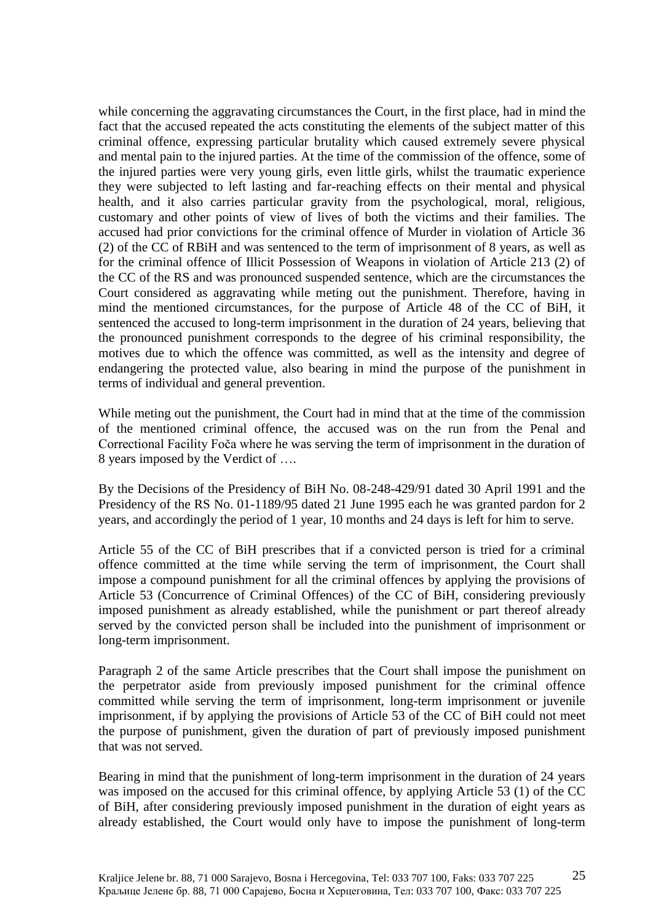while concerning the aggravating circumstances the Court, in the first place, had in mind the fact that the accused repeated the acts constituting the elements of the subject matter of this criminal offence, expressing particular brutality which caused extremely severe physical and mental pain to the injured parties. At the time of the commission of the offence, some of the injured parties were very young girls, even little girls, whilst the traumatic experience they were subjected to left lasting and far-reaching effects on their mental and physical health, and it also carries particular gravity from the psychological, moral, religious, customary and other points of view of lives of both the victims and their families. The accused had prior convictions for the criminal offence of Murder in violation of Article 36 (2) of the CC of RBiH and was sentenced to the term of imprisonment of 8 years, as well as for the criminal offence of Illicit Possession of Weapons in violation of Article 213 (2) of the CC of the RS and was pronounced suspended sentence, which are the circumstances the Court considered as aggravating while meting out the punishment. Therefore, having in mind the mentioned circumstances, for the purpose of Article 48 of the CC of BiH, it sentenced the accused to long-term imprisonment in the duration of 24 years, believing that the pronounced punishment corresponds to the degree of his criminal responsibility, the motives due to which the offence was committed, as well as the intensity and degree of endangering the protected value, also bearing in mind the purpose of the punishment in terms of individual and general prevention.

While meting out the punishment, the Court had in mind that at the time of the commission of the mentioned criminal offence, the accused was on the run from the Penal and Correctional Facility Foča where he was serving the term of imprisonment in the duration of 8 years imposed by the Verdict of ….

By the Decisions of the Presidency of BiH No. 08-248-429/91 dated 30 April 1991 and the Presidency of the RS No. 01-1189/95 dated 21 June 1995 each he was granted pardon for 2 years, and accordingly the period of 1 year, 10 months and 24 days is left for him to serve.

Article 55 of the CC of BiH prescribes that if a convicted person is tried for a criminal offence committed at the time while serving the term of imprisonment, the Court shall impose a compound punishment for all the criminal offences by applying the provisions of Article 53 (Concurrence of Criminal Offences) of the CC of BiH, considering previously imposed punishment as already established, while the punishment or part thereof already served by the convicted person shall be included into the punishment of imprisonment or long-term imprisonment.

Paragraph 2 of the same Article prescribes that the Court shall impose the punishment on the perpetrator aside from previously imposed punishment for the criminal offence committed while serving the term of imprisonment, long-term imprisonment or juvenile imprisonment, if by applying the provisions of Article 53 of the CC of BiH could not meet the purpose of punishment, given the duration of part of previously imposed punishment that was not served.

Bearing in mind that the punishment of long-term imprisonment in the duration of 24 years was imposed on the accused for this criminal offence, by applying Article 53 (1) of the CC of BiH, after considering previously imposed punishment in the duration of eight years as already established, the Court would only have to impose the punishment of long-term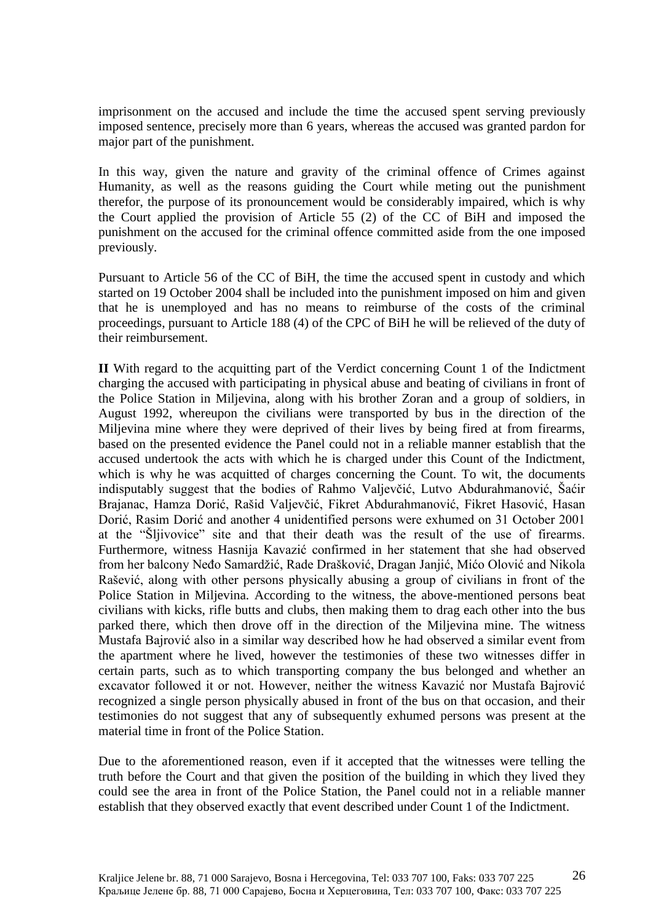imprisonment on the accused and include the time the accused spent serving previously imposed sentence, precisely more than 6 years, whereas the accused was granted pardon for major part of the punishment.

In this way, given the nature and gravity of the criminal offence of Crimes against Humanity, as well as the reasons guiding the Court while meting out the punishment therefor, the purpose of its pronouncement would be considerably impaired, which is why the Court applied the provision of Article 55 (2) of the CC of BiH and imposed the punishment on the accused for the criminal offence committed aside from the one imposed previously.

Pursuant to Article 56 of the CC of BiH, the time the accused spent in custody and which started on 19 October 2004 shall be included into the punishment imposed on him and given that he is unemployed and has no means to reimburse of the costs of the criminal proceedings, pursuant to Article 188 (4) of the CPC of BiH he will be relieved of the duty of their reimbursement.

**II** With regard to the acquitting part of the Verdict concerning Count 1 of the Indictment charging the accused with participating in physical abuse and beating of civilians in front of the Police Station in Miljevina, along with his brother Zoran and a group of soldiers, in August 1992, whereupon the civilians were transported by bus in the direction of the Miljevina mine where they were deprived of their lives by being fired at from firearms, based on the presented evidence the Panel could not in a reliable manner establish that the accused undertook the acts with which he is charged under this Count of the Indictment, which is why he was acquitted of charges concerning the Count. To wit, the documents indisputably suggest that the bodies of Rahmo Valjevčić, Lutvo Abdurahmanović, Šaćir Brajanac, Hamza Dorić, Rašid Valjevčić, Fikret Abdurahmanović, Fikret Hasović, Hasan Dorić, Rasim Dorić and another 4 unidentified persons were exhumed on 31 October 2001 at the "Šljivovice" site and that their death was the result of the use of firearms. Furthermore, witness Hasnija Kavazić confirmed in her statement that she had observed from her balcony Neđo Samardžić, Rade Drašković, Dragan Janjić, Mićo Olović and Nikola Rašević, along with other persons physically abusing a group of civilians in front of the Police Station in Miljevina. According to the witness, the above-mentioned persons beat civilians with kicks, rifle butts and clubs, then making them to drag each other into the bus parked there, which then drove off in the direction of the Miljevina mine. The witness Mustafa Bajrović also in a similar way described how he had observed a similar event from the apartment where he lived, however the testimonies of these two witnesses differ in certain parts, such as to which transporting company the bus belonged and whether an excavator followed it or not. However, neither the witness Kavazić nor Mustafa Bajrović recognized a single person physically abused in front of the bus on that occasion, and their testimonies do not suggest that any of subsequently exhumed persons was present at the material time in front of the Police Station.

Due to the aforementioned reason, even if it accepted that the witnesses were telling the truth before the Court and that given the position of the building in which they lived they could see the area in front of the Police Station, the Panel could not in a reliable manner establish that they observed exactly that event described under Count 1 of the Indictment.